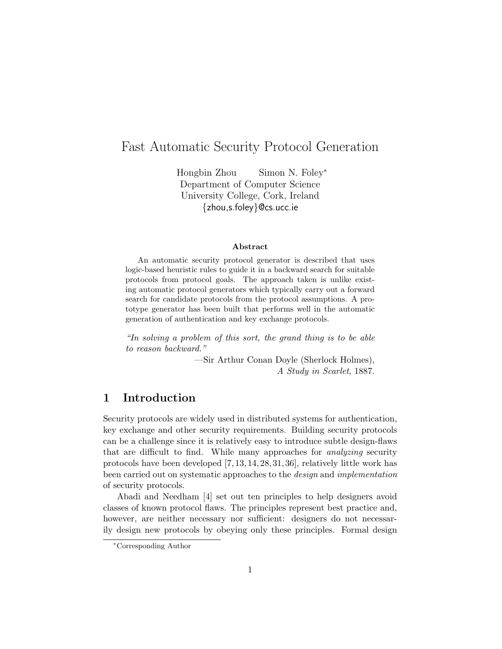# Fast Automatic Security Protocol Generation

Hongbin Zhou Simon N. Foley<sup>∗</sup> Department of Computer Science University College, Cork, Ireland {zhou,s.foley}@cs.ucc.ie

#### Abstract

An automatic security protocol generator is described that uses logic-based heuristic rules to guide it in a backward search for suitable protocols from protocol goals. The approach taken is unlike existing automatic protocol generators which typically carry out a forward search for candidate protocols from the protocol assumptions. A prototype generator has been built that performs well in the automatic generation of authentication and key exchange protocols.

"In solving a problem of this sort, the grand thing is to be able to reason backward."

> —Sir Arthur Conan Doyle (Sherlock Holmes), A Study in Scarlet, 1887.

## 1 Introduction

Security protocols are widely used in distributed systems for authentication, key exchange and other security requirements. Building security protocols can be a challenge since it is relatively easy to introduce subtle design-flaws that are difficult to find. While many approaches for *analyzing* security protocols have been developed [7, 13, 14, 28, 31, 36], relatively little work has been carried out on systematic approaches to the design and implementation of security protocols.

Abadi and Needham [4] set out ten principles to help designers avoid classes of known protocol flaws. The principles represent best practice and, however, are neither necessary nor sufficient: designers do not necessarily design new protocols by obeying only these principles. Formal design

<sup>∗</sup>Corresponding Author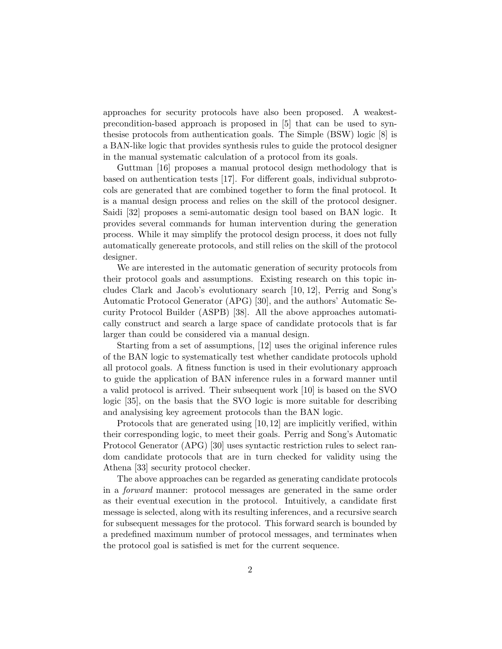approaches for security protocols have also been proposed. A weakestprecondition-based approach is proposed in [5] that can be used to synthesise protocols from authentication goals. The Simple (BSW) logic [8] is a BAN-like logic that provides synthesis rules to guide the protocol designer in the manual systematic calculation of a protocol from its goals.

Guttman [16] proposes a manual protocol design methodology that is based on authentication tests [17]. For different goals, individual subprotocols are generated that are combined together to form the final protocol. It is a manual design process and relies on the skill of the protocol designer. Saidi [32] proposes a semi-automatic design tool based on BAN logic. It provides several commands for human intervention during the generation process. While it may simplify the protocol design process, it does not fully automatically genereate protocols, and still relies on the skill of the protocol designer.

We are interested in the automatic generation of security protocols from their protocol goals and assumptions. Existing research on this topic includes Clark and Jacob's evolutionary search [10, 12], Perrig and Song's Automatic Protocol Generator (APG) [30], and the authors' Automatic Security Protocol Builder (ASPB) [38]. All the above approaches automatically construct and search a large space of candidate protocols that is far larger than could be considered via a manual design.

Starting from a set of assumptions, [12] uses the original inference rules of the BAN logic to systematically test whether candidate protocols uphold all protocol goals. A fitness function is used in their evolutionary approach to guide the application of BAN inference rules in a forward manner until a valid protocol is arrived. Their subsequent work [10] is based on the SVO logic [35], on the basis that the SVO logic is more suitable for describing and analysising key agreement protocols than the BAN logic.

Protocols that are generated using [10, 12] are implicitly verified, within their corresponding logic, to meet their goals. Perrig and Song's Automatic Protocol Generator (APG) [30] uses syntactic restriction rules to select random candidate protocols that are in turn checked for validity using the Athena [33] security protocol checker.

The above approaches can be regarded as generating candidate protocols in a forward manner: protocol messages are generated in the same order as their eventual execution in the protocol. Intuitively, a candidate first message is selected, along with its resulting inferences, and a recursive search for subsequent messages for the protocol. This forward search is bounded by a predefined maximum number of protocol messages, and terminates when the protocol goal is satisfied is met for the current sequence.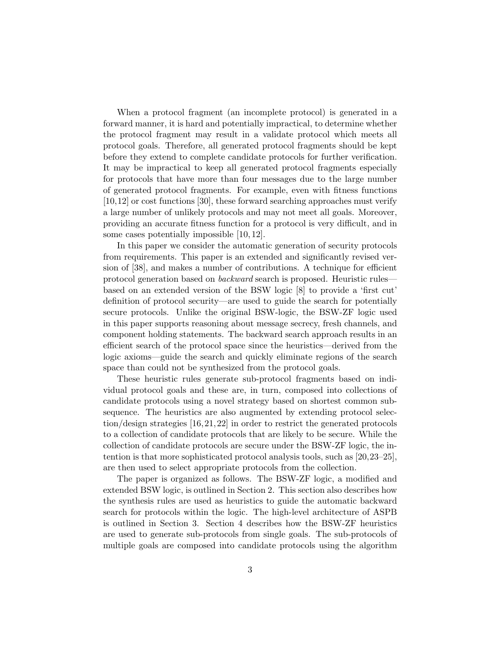When a protocol fragment (an incomplete protocol) is generated in a forward manner, it is hard and potentially impractical, to determine whether the protocol fragment may result in a validate protocol which meets all protocol goals. Therefore, all generated protocol fragments should be kept before they extend to complete candidate protocols for further verification. It may be impractical to keep all generated protocol fragments especially for protocols that have more than four messages due to the large number of generated protocol fragments. For example, even with fitness functions [10,12] or cost functions [30], these forward searching approaches must verify a large number of unlikely protocols and may not meet all goals. Moreover, providing an accurate fitness function for a protocol is very difficult, and in some cases potentially impossible [10, 12].

In this paper we consider the automatic generation of security protocols from requirements. This paper is an extended and significantly revised version of [38], and makes a number of contributions. A technique for efficient protocol generation based on backward search is proposed. Heuristic rules based on an extended version of the BSW logic [8] to provide a 'first cut' definition of protocol security—are used to guide the search for potentially secure protocols. Unlike the original BSW-logic, the BSW-ZF logic used in this paper supports reasoning about message secrecy, fresh channels, and component holding statements. The backward search approach results in an efficient search of the protocol space since the heuristics—derived from the logic axioms—guide the search and quickly eliminate regions of the search space than could not be synthesized from the protocol goals.

These heuristic rules generate sub-protocol fragments based on individual protocol goals and these are, in turn, composed into collections of candidate protocols using a novel strategy based on shortest common subsequence. The heuristics are also augmented by extending protocol selection/design strategies [16, 21, 22] in order to restrict the generated protocols to a collection of candidate protocols that are likely to be secure. While the collection of candidate protocols are secure under the BSW-ZF logic, the intention is that more sophisticated protocol analysis tools, such as [20,23–25], are then used to select appropriate protocols from the collection.

The paper is organized as follows. The BSW-ZF logic, a modified and extended BSW logic, is outlined in Section 2. This section also describes how the synthesis rules are used as heuristics to guide the automatic backward search for protocols within the logic. The high-level architecture of ASPB is outlined in Section 3. Section 4 describes how the BSW-ZF heuristics are used to generate sub-protocols from single goals. The sub-protocols of multiple goals are composed into candidate protocols using the algorithm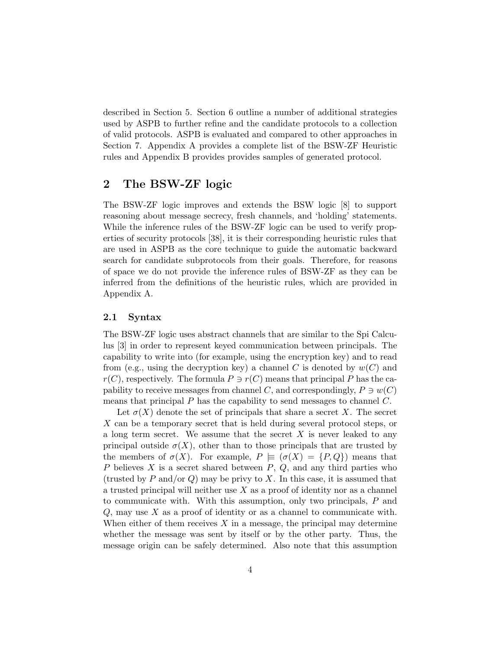described in Section 5. Section 6 outline a number of additional strategies used by ASPB to further refine and the candidate protocols to a collection of valid protocols. ASPB is evaluated and compared to other approaches in Section 7. Appendix A provides a complete list of the BSW-ZF Heuristic rules and Appendix B provides provides samples of generated protocol.

## 2 The BSW-ZF logic

The BSW-ZF logic improves and extends the BSW logic [8] to support reasoning about message secrecy, fresh channels, and 'holding' statements. While the inference rules of the BSW-ZF logic can be used to verify properties of security protocols [38], it is their corresponding heuristic rules that are used in ASPB as the core technique to guide the automatic backward search for candidate subprotocols from their goals. Therefore, for reasons of space we do not provide the inference rules of BSW-ZF as they can be inferred from the definitions of the heuristic rules, which are provided in Appendix A.

### 2.1 Syntax

The BSW-ZF logic uses abstract channels that are similar to the Spi Calculus [3] in order to represent keyed communication between principals. The capability to write into (for example, using the encryption key) and to read from (e.g., using the decryption key) a channel C is denoted by  $w(C)$  and  $r(C)$ , respectively. The formula  $P \ni r(C)$  means that principal P has the capability to receive messages from channel C, and correspondingly,  $P \ni w(C)$ means that principal  $P$  has the capability to send messages to channel  $C$ .

Let  $\sigma(X)$  denote the set of principals that share a secret X. The secret X can be a temporary secret that is held during several protocol steps, or a long term secret. We assume that the secret  $X$  is never leaked to any principal outside  $\sigma(X)$ , other than to those principals that are trusted by the members of  $\sigma(X)$ . For example,  $P \vDash (\sigma(X) = \{P, Q\})$  means that P believes  $X$  is a secret shared between  $P, Q$ , and any third parties who (trusted by P and/or Q) may be privy to X. In this case, it is assumed that a trusted principal will neither use  $X$  as a proof of identity nor as a channel to communicate with. With this assumption, only two principals, P and  $Q$ , may use X as a proof of identity or as a channel to communicate with. When either of them receives  $X$  in a message, the principal may determine whether the message was sent by itself or by the other party. Thus, the message origin can be safely determined. Also note that this assumption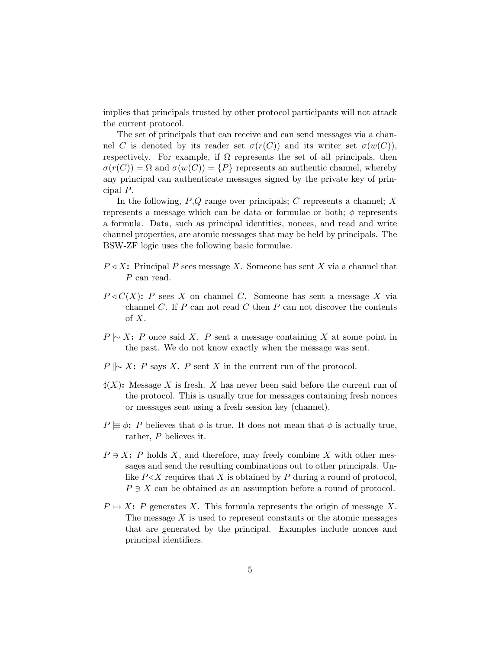implies that principals trusted by other protocol participants will not attack the current protocol.

The set of principals that can receive and can send messages via a channel C is denoted by its reader set  $\sigma(r(C))$  and its writer set  $\sigma(w(C))$ , respectively. For example, if  $\Omega$  represents the set of all principals, then  $\sigma(r(C)) = \Omega$  and  $\sigma(w(C)) = \{P\}$  represents an authentic channel, whereby any principal can authenticate messages signed by the private key of principal P.

In the following,  $P,Q$  range over principals; C represents a channel; X represents a message which can be data or formulae or both;  $\phi$  represents a formula. Data, such as principal identities, nonces, and read and write channel properties, are atomic messages that may be held by principals. The BSW-ZF logic uses the following basic formulae.

- $P \triangleleft X$ : Principal P sees message X. Someone has sent X via a channel that P can read.
- $P \triangleleft C(X)$ : P sees X on channel C. Someone has sent a message X via channel  $C$ . If  $P$  can not read  $C$  then  $P$  can not discover the contents of X.
- $P \sim X: P$  once said X. P sent a message containing X at some point in the past. We do not know exactly when the message was sent.
- $P \Vdash \sim X$ : P says X. P sent X in the current run of the protocol.
- $\sharp(X)$ : Message X is fresh. X has never been said before the current run of the protocol. This is usually true for messages containing fresh nonces or messages sent using a fresh session key (channel).
- $P \equiv \phi$ : P believes that  $\phi$  is true. It does not mean that  $\phi$  is actually true, rather, P believes it.
- $P \ni X: P$  holds X, and therefore, may freely combine X with other messages and send the resulting combinations out to other principals. Unlike  $P \triangleleft X$  requires that X is obtained by P during a round of protocol,  $P \ni X$  can be obtained as an assumption before a round of protocol.
- $P \mapsto X: P$  generates X. This formula represents the origin of message X. The message  $X$  is used to represent constants or the atomic messages that are generated by the principal. Examples include nonces and principal identifiers.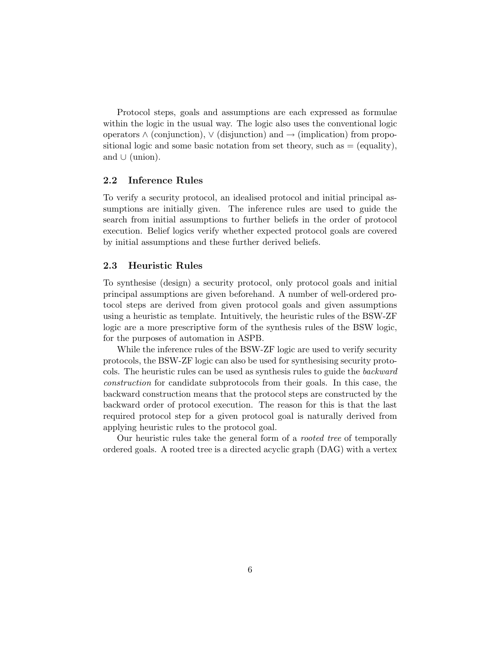Protocol steps, goals and assumptions are each expressed as formulae within the logic in the usual way. The logic also uses the conventional logic operators  $\wedge$  (conjunction),  $\vee$  (disjunction) and  $\rightarrow$  (implication) from propositional logic and some basic notation from set theory, such as  $=$  (equality), and  $∪$  (union).

### 2.2 Inference Rules

To verify a security protocol, an idealised protocol and initial principal assumptions are initially given. The inference rules are used to guide the search from initial assumptions to further beliefs in the order of protocol execution. Belief logics verify whether expected protocol goals are covered by initial assumptions and these further derived beliefs.

### 2.3 Heuristic Rules

To synthesise (design) a security protocol, only protocol goals and initial principal assumptions are given beforehand. A number of well-ordered protocol steps are derived from given protocol goals and given assumptions using a heuristic as template. Intuitively, the heuristic rules of the BSW-ZF logic are a more prescriptive form of the synthesis rules of the BSW logic, for the purposes of automation in ASPB.

While the inference rules of the BSW-ZF logic are used to verify security protocols, the BSW-ZF logic can also be used for synthesising security protocols. The heuristic rules can be used as synthesis rules to guide the backward construction for candidate subprotocols from their goals. In this case, the backward construction means that the protocol steps are constructed by the backward order of protocol execution. The reason for this is that the last required protocol step for a given protocol goal is naturally derived from applying heuristic rules to the protocol goal.

Our heuristic rules take the general form of a rooted tree of temporally ordered goals. A rooted tree is a directed acyclic graph (DAG) with a vertex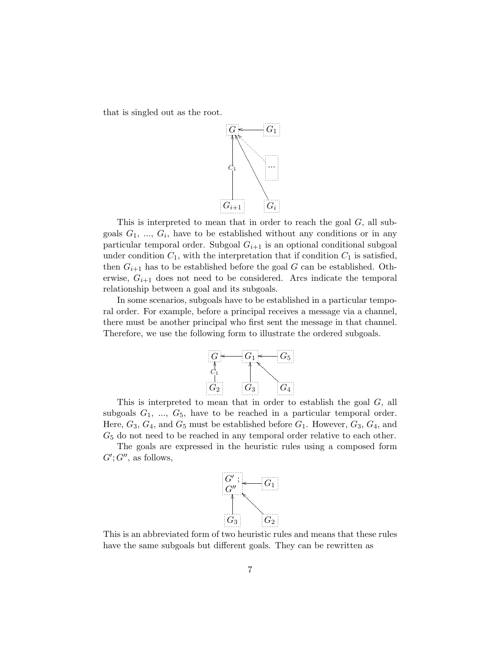that is singled out as the root.



This is interpreted to mean that in order to reach the goal  $G$ , all subgoals  $G_1, ..., G_i$ , have to be established without any conditions or in any particular temporal order. Subgoal  $G_{i+1}$  is an optional conditional subgoal under condition  $C_1$ , with the interpretation that if condition  $C_1$  is satisfied, then  $G_{i+1}$  has to be established before the goal G can be established. Otherwise,  $G_{i+1}$  does not need to be considered. Arcs indicate the temporal relationship between a goal and its subgoals.

In some scenarios, subgoals have to be established in a particular temporal order. For example, before a principal receives a message via a channel, there must be another principal who first sent the message in that channel. Therefore, we use the following form to illustrate the ordered subgoals.



This is interpreted to mean that in order to establish the goal  $G$ , all subgoals  $G_1$ , ...,  $G_5$ , have to be reached in a particular temporal order. Here,  $G_3$ ,  $G_4$ , and  $G_5$  must be established before  $G_1$ . However,  $G_3$ ,  $G_4$ , and  $G<sub>5</sub>$  do not need to be reached in any temporal order relative to each other.

The goals are expressed in the heuristic rules using a composed form  $G'; G'',$  as follows,



This is an abbreviated form of two heuristic rules and means that these rules have the same subgoals but different goals. They can be rewritten as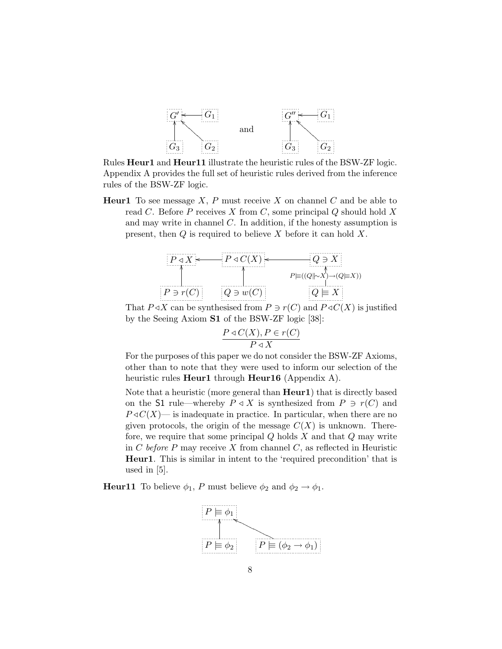

Rules Heur1 and Heur11 illustrate the heuristic rules of the BSW-ZF logic. Appendix A provides the full set of heuristic rules derived from the inference rules of the BSW-ZF logic.

**Heur1** To see message  $X$ ,  $P$  must receive  $X$  on channel  $C$  and be able to read  $C$ . Before  $P$  receives  $X$  from  $C$ , some principal  $Q$  should hold  $X$ and may write in channel C. In addition, if the honesty assumption is present, then  $Q$  is required to believe  $X$  before it can hold  $X$ .



That  $P \triangleleft X$  can be synthesised from  $P \ni r(C)$  and  $P \triangleleft C(X)$  is justified by the Seeing Axiom S1 of the BSW-ZF logic [38]:

$$
\frac{P \triangleleft C(X), P \in r(C)}{P \triangleleft X}
$$

For the purposes of this paper we do not consider the BSW-ZF Axioms, other than to note that they were used to inform our selection of the heuristic rules  $\textbf{Heur1}$  through  $\textbf{Heur16}$  (Appendix A).

Note that a heuristic (more general than **Heur1**) that is directly based on the S1 rule—whereby  $P \triangleleft X$  is synthesized from  $P \ni r(C)$  and  $P \triangleleft C(X)$ — is inadequate in practice. In particular, when there are no given protocols, the origin of the message  $C(X)$  is unknown. Therefore, we require that some principal  $Q$  holds  $X$  and that  $Q$  may write in C before P may receive X from channel C, as reflected in Heuristic Heur1. This is similar in intent to the 'required precondition' that is used in [5].

**Heur11** To believe  $\phi_1$ , P must believe  $\phi_2$  and  $\phi_2 \rightarrow \phi_1$ .

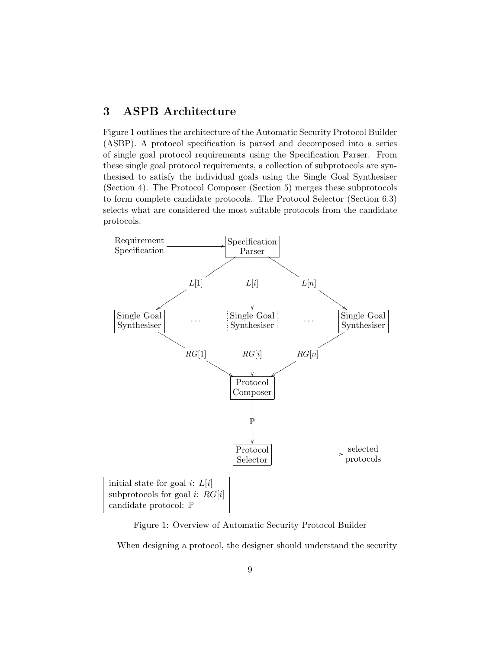## 3 ASPB Architecture

Figure 1 outlines the architecture of the Automatic Security Protocol Builder (ASBP). A protocol specification is parsed and decomposed into a series of single goal protocol requirements using the Specification Parser. From these single goal protocol requirements, a collection of subprotocols are synthesised to satisfy the individual goals using the Single Goal Synthesiser (Section 4). The Protocol Composer (Section 5) merges these subprotocols to form complete candidate protocols. The Protocol Selector (Section 6.3) selects what are considered the most suitable protocols from the candidate protocols.



Figure 1: Overview of Automatic Security Protocol Builder

When designing a protocol, the designer should understand the security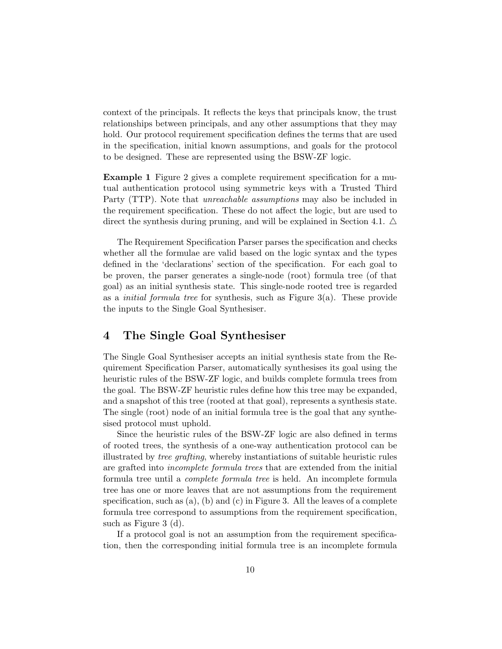context of the principals. It reflects the keys that principals know, the trust relationships between principals, and any other assumptions that they may hold. Our protocol requirement specification defines the terms that are used in the specification, initial known assumptions, and goals for the protocol to be designed. These are represented using the BSW-ZF logic.

Example 1 Figure 2 gives a complete requirement specification for a mutual authentication protocol using symmetric keys with a Trusted Third Party (TTP). Note that unreachable assumptions may also be included in the requirement specification. These do not affect the logic, but are used to direct the synthesis during pruning, and will be explained in Section 4.1.  $\triangle$ 

The Requirement Specification Parser parses the specification and checks whether all the formulae are valid based on the logic syntax and the types defined in the 'declarations' section of the specification. For each goal to be proven, the parser generates a single-node (root) formula tree (of that goal) as an initial synthesis state. This single-node rooted tree is regarded as a *initial formula tree* for synthesis, such as Figure  $3(a)$ . These provide the inputs to the Single Goal Synthesiser.

## 4 The Single Goal Synthesiser

The Single Goal Synthesiser accepts an initial synthesis state from the Requirement Specification Parser, automatically synthesises its goal using the heuristic rules of the BSW-ZF logic, and builds complete formula trees from the goal. The BSW-ZF heuristic rules define how this tree may be expanded, and a snapshot of this tree (rooted at that goal), represents a synthesis state. The single (root) node of an initial formula tree is the goal that any synthesised protocol must uphold.

Since the heuristic rules of the BSW-ZF logic are also defined in terms of rooted trees, the synthesis of a one-way authentication protocol can be illustrated by tree grafting, whereby instantiations of suitable heuristic rules are grafted into incomplete formula trees that are extended from the initial formula tree until a complete formula tree is held. An incomplete formula tree has one or more leaves that are not assumptions from the requirement specification, such as  $(a)$ ,  $(b)$  and  $(c)$  in Figure 3. All the leaves of a complete formula tree correspond to assumptions from the requirement specification, such as Figure 3 (d).

If a protocol goal is not an assumption from the requirement specification, then the corresponding initial formula tree is an incomplete formula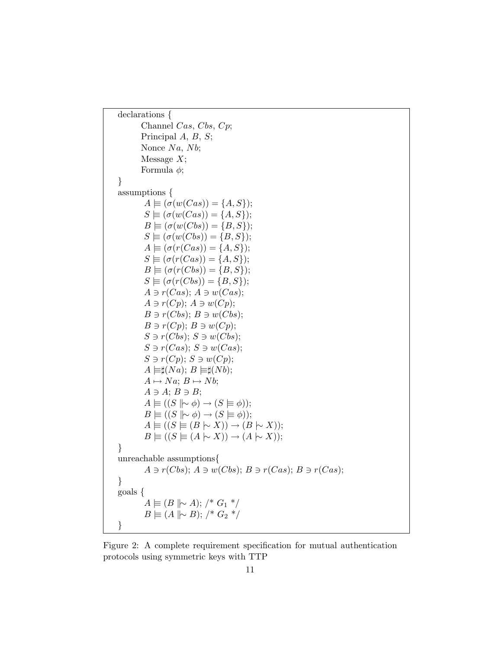```
declarations {
       Channel Cas, Cbs, Cp;
       Principal A, B, S;
       Nonce Na, Nb;
       Message X;
       Formula \phi;
}
assumptions {
        A \equiv (\sigma(w(Cas)) = \{A, S\});S \equiv (\sigma(w(Cas)) = \{A, S\});B \equiv (\sigma(w(Cbs)) = \{B, S\});S \equiv (\sigma(w(Cbs)) = \{B, S\});A \equiv (\sigma(r(Cas)) = \{A, S\});S \equiv (\sigma(r(Cas)) = \{A, S\});B \equiv (\sigma(r(Cbs)) = \{B, S\});S \equiv (\sigma(r(Cbs)) = \{B, S\});A \ni r(Cas); A \ni w(Cas);A \ni r(Cp); A \ni w(Cp);B \ni r(Cbs); B \ni w(Cbs);B \ni r(Cp); B \ni w(Cp);S \ni r(Cbs); S \ni w(Cbs);S \ni r(Cas); S \ni w(Cas);S \ni r(Cp); S \ni w(Cp);A \models \sharp(Na); B \models \sharp(Nb);A \mapsto Na; B \mapsto Nb;
        A \ni A; B \ni B;A \equiv ((S \mid \sim \phi) \rightarrow (S \models \phi));B \models ((S \mid \sim \phi) \rightarrow (S \models \phi));A \equiv ((S \equiv (B \sim X)) \rightarrow (B \sim X));B \equiv ((S \equiv (A \sim X)) \rightarrow (A \sim X));}
unreachable assumptions{
         A \ni r(Cbs); A \ni w(Cbs); B \ni r(Cas); B \ni r(Cas);}
goals {
        A \not\equiv (B \not\parallel \sim A); /* G_1 */
        B \equiv (A \parallel \sim B); /* G_2 */
}
```
Figure 2: A complete requirement specification for mutual authentication protocols using symmetric keys with TTP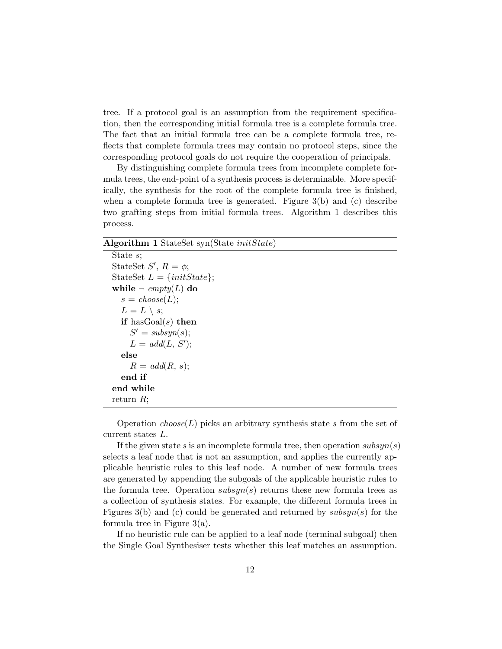tree. If a protocol goal is an assumption from the requirement specification, then the corresponding initial formula tree is a complete formula tree. The fact that an initial formula tree can be a complete formula tree, reflects that complete formula trees may contain no protocol steps, since the corresponding protocol goals do not require the cooperation of principals.

By distinguishing complete formula trees from incomplete complete formula trees, the end-point of a synthesis process is determinable. More specifically, the synthesis for the root of the complete formula tree is finished, when a complete formula tree is generated. Figure 3(b) and (c) describe two grafting steps from initial formula trees. Algorithm 1 describes this process.

### Algorithm 1 StateSet syn(State initState)

```
State s;
StateSet S', R = \phi;
StateSet L = \{initState\};while \neg \text{empty}(L) do
  s = choose(L);L = L \setminus s;if hasGoal(s) then
     S' = subsyn(s);L = add(L, S');else
     R = \text{add}(R, s);end if
end while
return R;
```
Operation  $choose(L)$  picks an arbitrary synthesis state s from the set of current states L.

If the given state s is an incomplete formula tree, then operation  $subsyn(s)$ selects a leaf node that is not an assumption, and applies the currently applicable heuristic rules to this leaf node. A number of new formula trees are generated by appending the subgoals of the applicable heuristic rules to the formula tree. Operation  $subsyn(s)$  returns these new formula trees as a collection of synthesis states. For example, the different formula trees in Figures 3(b) and (c) could be generated and returned by  $subsyn(s)$  for the formula tree in Figure  $3(a)$ .

If no heuristic rule can be applied to a leaf node (terminal subgoal) then the Single Goal Synthesiser tests whether this leaf matches an assumption.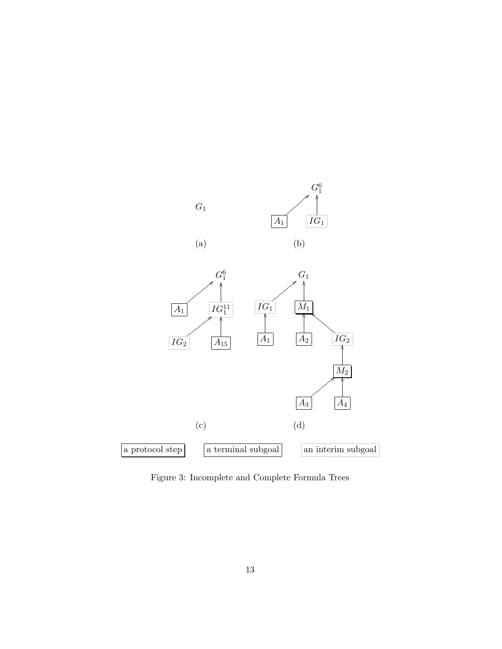

Figure 3: Incomplete and Complete Formula Trees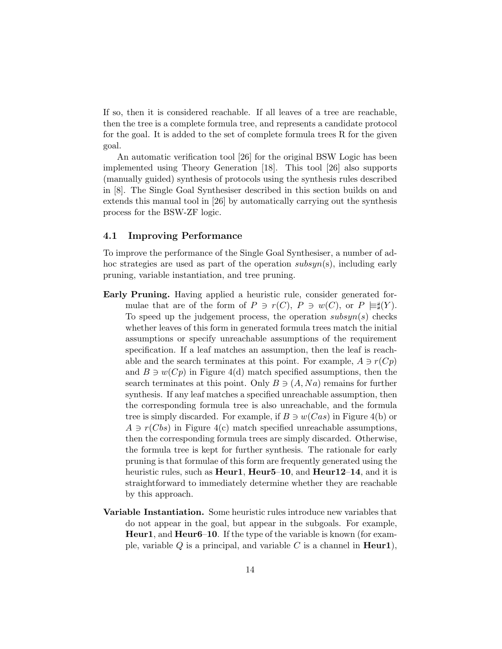If so, then it is considered reachable. If all leaves of a tree are reachable, then the tree is a complete formula tree, and represents a candidate protocol for the goal. It is added to the set of complete formula trees R for the given goal.

An automatic verification tool [26] for the original BSW Logic has been implemented using Theory Generation [18]. This tool [26] also supports (manually guided) synthesis of protocols using the synthesis rules described in [8]. The Single Goal Synthesiser described in this section builds on and extends this manual tool in [26] by automatically carrying out the synthesis process for the BSW-ZF logic.

### 4.1 Improving Performance

To improve the performance of the Single Goal Synthesiser, a number of adhoc strategies are used as part of the operation  $subsum(s)$ , including early pruning, variable instantiation, and tree pruning.

- Early Pruning. Having applied a heuristic rule, consider generated formulae that are of the form of  $P \ni r(C)$ ,  $P \ni w(C)$ , or  $P \models^{\sharp}(Y)$ . To speed up the judgement process, the operation  $subsyn(s)$  checks whether leaves of this form in generated formula trees match the initial assumptions or specify unreachable assumptions of the requirement specification. If a leaf matches an assumption, then the leaf is reachable and the search terminates at this point. For example,  $A \ni r(Cp)$ and  $B \ni w(Cp)$  in Figure 4(d) match specified assumptions, then the search terminates at this point. Only  $B \ni (A, Na)$  remains for further synthesis. If any leaf matches a specified unreachable assumption, then the corresponding formula tree is also unreachable, and the formula tree is simply discarded. For example, if  $B \ni w(Cas)$  in Figure 4(b) or  $A \ni r(Cbs)$  in Figure 4(c) match specified unreachable assumptions, then the corresponding formula trees are simply discarded. Otherwise, the formula tree is kept for further synthesis. The rationale for early pruning is that formulae of this form are frequently generated using the heuristic rules, such as Heur1, Heur5–10, and Heur12–14, and it is straightforward to immediately determine whether they are reachable by this approach.
- Variable Instantiation. Some heuristic rules introduce new variables that do not appear in the goal, but appear in the subgoals. For example, **Heur1**, and **Heur6–10**. If the type of the variable is known (for example, variable  $Q$  is a principal, and variable  $C$  is a channel in **Heur1**),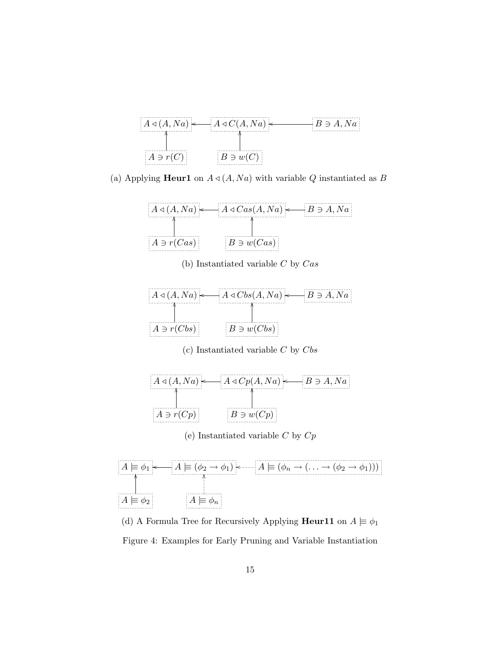

(a) Applying **Heur1** on  $A \triangleleft (A, Na)$  with variable Q instantiated as B



(b) Instantiated variable  $C$  by  $Cas$ 

|                | $- A \triangleleft Cbs(A,Na)$ | $-B\ni A, Na$ : |
|----------------|-------------------------------|-----------------|
|                |                               |                 |
| $A \ni r(Cbs)$ | $B \ni w(Cbs)$                |                 |

(c) Instantiated variable  $C$  by  $Cbs$ 



(e) Instantiated variable  $C$  by  $Cp$ 



(d) A Formula Tree for Recursively Applying Heur11 on  $A \not\models \phi_1$ Figure 4: Examples for Early Pruning and Variable Instantiation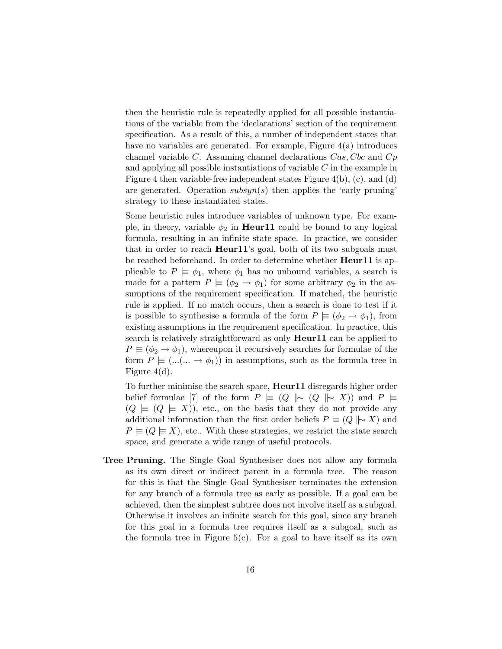then the heuristic rule is repeatedly applied for all possible instantiations of the variable from the 'declarations' section of the requirement specification. As a result of this, a number of independent states that have no variables are generated. For example, Figure 4(a) introduces channel variable  $C$ . Assuming channel declarations  $Cas, Cbc$  and  $Cp$ and applying all possible instantiations of variable C in the example in Figure 4 then variable-free independent states Figure 4(b), (c), and (d) are generated. Operation  $subsyn(s)$  then applies the 'early pruning' strategy to these instantiated states.

Some heuristic rules introduce variables of unknown type. For example, in theory, variable  $\phi_2$  in **Heur11** could be bound to any logical formula, resulting in an infinite state space. In practice, we consider that in order to reach **Heur11**'s goal, both of its two subgoals must be reached beforehand. In order to determine whether **Heur11** is applicable to  $P \models \phi_1$ , where  $\phi_1$  has no unbound variables, a search is made for a pattern  $P \equiv (\phi_2 \rightarrow \phi_1)$  for some arbitrary  $\phi_2$  in the assumptions of the requirement specification. If matched, the heuristic rule is applied. If no match occurs, then a search is done to test if it is possible to synthesise a formula of the form  $P \models (\phi_2 \rightarrow \phi_1)$ , from existing assumptions in the requirement specification. In practice, this search is relatively straightforward as only **Heur11** can be applied to  $P \equiv (\phi_2 \rightarrow \phi_1)$ , whereupon it recursively searches for formulae of the form  $P \models (...(... \rightarrow \phi_1))$  in assumptions, such as the formula tree in Figure 4(d).

To further minimise the search space, **Heur11** disregards higher order belief formulae [7] of the form  $P \models (Q \parallel \sim (Q \parallel \sim X))$  and  $P \models$  $(Q \not\equiv (Q \not\equiv X))$ , etc., on the basis that they do not provide any additional information than the first order beliefs  $P \equiv (Q \mid \sim X)$  and  $P \equiv (Q \equiv X)$ , etc.. With these strategies, we restrict the state search space, and generate a wide range of useful protocols.

Tree Pruning. The Single Goal Synthesiser does not allow any formula as its own direct or indirect parent in a formula tree. The reason for this is that the Single Goal Synthesiser terminates the extension for any branch of a formula tree as early as possible. If a goal can be achieved, then the simplest subtree does not involve itself as a subgoal. Otherwise it involves an infinite search for this goal, since any branch for this goal in a formula tree requires itself as a subgoal, such as the formula tree in Figure  $5(c)$ . For a goal to have itself as its own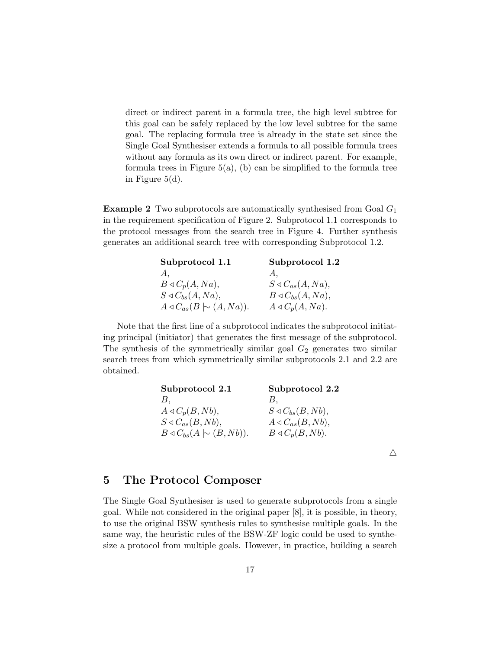direct or indirect parent in a formula tree, the high level subtree for this goal can be safely replaced by the low level subtree for the same goal. The replacing formula tree is already in the state set since the Single Goal Synthesiser extends a formula to all possible formula trees without any formula as its own direct or indirect parent. For example, formula trees in Figure  $5(a)$ , (b) can be simplified to the formula tree in Figure 5(d).

**Example 2** Two subprotocols are automatically synthesised from Goal  $G_1$ in the requirement specification of Figure 2. Subprotocol 1.1 corresponds to the protocol messages from the search tree in Figure 4. Further synthesis generates an additional search tree with corresponding Subprotocol 1.2.

| Subprotocol 1.1                           | Subprotocol 1.2                  |
|-------------------------------------------|----------------------------------|
| А.                                        | А.                               |
| $B \triangleleft C_p(A, Na),$             | $S \triangleleft C_{as}(A,Na),$  |
| $S \triangleleft C_{bs}(A, Na),$          | $B \triangleleft C_{bs}(A, Na),$ |
| $A \triangleleft C_{as}(B \cup (A, Na)).$ | $A \triangleleft C_p(A, Na)$ .   |

Note that the first line of a subprotocol indicates the subprotocol initiating principal (initiator) that generates the first message of the subprotocol. The synthesis of the symmetrically similar goal  $G_2$  generates two similar search trees from which symmetrically similar subprotocols 2.1 and 2.2 are obtained.

| Subprotocol 2.1                           | Subprotocol 2.2                  |
|-------------------------------------------|----------------------------------|
| В,                                        | В.                               |
| $A \triangleleft C_p(B, Nb),$             | $S \triangleleft C_{bs}(B, Nb),$ |
| $S \triangleleft C_{as}(B, Nb),$          | $A \triangleleft C_{as}(B, Nb),$ |
| $B \triangleleft C_{bs}(A \sim (B, Nb)).$ | $B \triangleleft C_p(B, Nb)$ .   |
|                                           |                                  |

 $\triangle$ 

### 5 The Protocol Composer

The Single Goal Synthesiser is used to generate subprotocols from a single goal. While not considered in the original paper [8], it is possible, in theory, to use the original BSW synthesis rules to synthesise multiple goals. In the same way, the heuristic rules of the BSW-ZF logic could be used to synthesize a protocol from multiple goals. However, in practice, building a search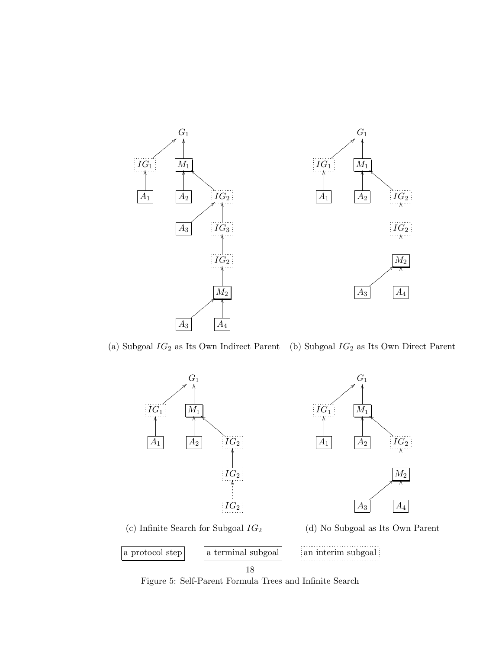

(a) Subgoal  $IG_2$  as Its Own Indirect Parent (b) Subgoal  $IG_2$  as Its Own Direct Parent



Figure 5: Self-Parent Formula Trees and Infinite Search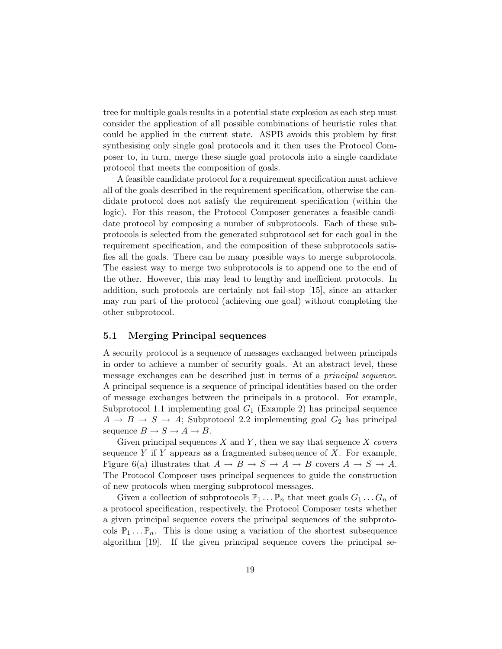tree for multiple goals results in a potential state explosion as each step must consider the application of all possible combinations of heuristic rules that could be applied in the current state. ASPB avoids this problem by first synthesising only single goal protocols and it then uses the Protocol Composer to, in turn, merge these single goal protocols into a single candidate protocol that meets the composition of goals.

A feasible candidate protocol for a requirement specification must achieve all of the goals described in the requirement specification, otherwise the candidate protocol does not satisfy the requirement specification (within the logic). For this reason, the Protocol Composer generates a feasible candidate protocol by composing a number of subprotocols. Each of these subprotocols is selected from the generated subprotocol set for each goal in the requirement specification, and the composition of these subprotocols satisfies all the goals. There can be many possible ways to merge subprotocols. The easiest way to merge two subprotocols is to append one to the end of the other. However, this may lead to lengthy and inefficient protocols. In addition, such protocols are certainly not fail-stop [15], since an attacker may run part of the protocol (achieving one goal) without completing the other subprotocol.

### 5.1 Merging Principal sequences

A security protocol is a sequence of messages exchanged between principals in order to achieve a number of security goals. At an abstract level, these message exchanges can be described just in terms of a *principal sequence*. A principal sequence is a sequence of principal identities based on the order of message exchanges between the principals in a protocol. For example, Subprotocol 1.1 implementing goal  $G_1$  (Example 2) has principal sequence  $A \rightarrow B \rightarrow S \rightarrow A$ ; Subprotocol 2.2 implementing goal  $G_2$  has principal sequence  $B \to S \to A \to B$ .

Given principal sequences  $X$  and  $Y$ , then we say that sequence  $X$  covers sequence Y if Y appears as a fragmented subsequence of  $X$ . For example, Figure 6(a) illustrates that  $A \to B \to S \to A \to B$  covers  $A \to S \to A$ . The Protocol Composer uses principal sequences to guide the construction of new protocols when merging subprotocol messages.

Given a collection of subprotocols  $\mathbb{P}_1 \dots \mathbb{P}_n$  that meet goals  $G_1 \dots G_n$  of a protocol specification, respectively, the Protocol Composer tests whether a given principal sequence covers the principal sequences of the subprotocols  $\mathbb{P}_1 \dots \mathbb{P}_n$ . This is done using a variation of the shortest subsequence algorithm [19]. If the given principal sequence covers the principal se-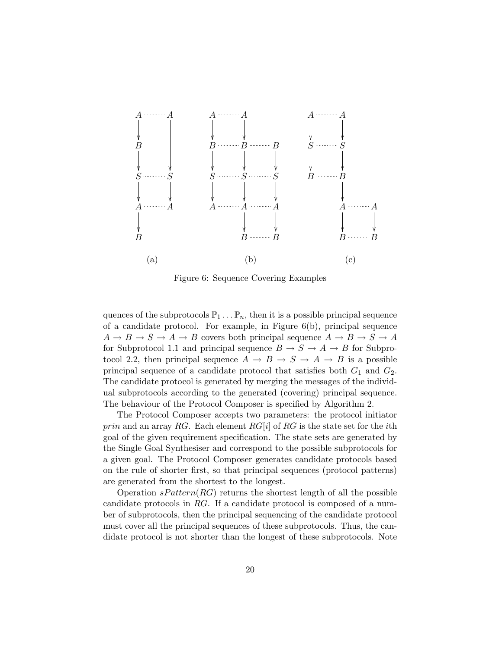

Figure 6: Sequence Covering Examples

quences of the subprotocols  $\mathbb{P}_1 \dots \mathbb{P}_n$ , then it is a possible principal sequence of a candidate protocol. For example, in Figure 6(b), principal sequence  $A \to B \to S \to A \to B$  covers both principal sequence  $A \to B \to S \to A$ for Subprotocol 1.1 and principal sequence  $B \to S \to A \to B$  for Subprotocol 2.2, then principal sequence  $A \rightarrow B \rightarrow S \rightarrow A \rightarrow B$  is a possible principal sequence of a candidate protocol that satisfies both  $G_1$  and  $G_2$ . The candidate protocol is generated by merging the messages of the individual subprotocols according to the generated (covering) principal sequence. The behaviour of the Protocol Composer is specified by Algorithm 2.

The Protocol Composer accepts two parameters: the protocol initiator prin and an array RG. Each element  $RG[i]$  of RG is the state set for the *i*th goal of the given requirement specification. The state sets are generated by the Single Goal Synthesiser and correspond to the possible subprotocols for a given goal. The Protocol Composer generates candidate protocols based on the rule of shorter first, so that principal sequences (protocol patterns) are generated from the shortest to the longest.

Operation  $sPattern(RG)$  returns the shortest length of all the possible candidate protocols in RG. If a candidate protocol is composed of a number of subprotocols, then the principal sequencing of the candidate protocol must cover all the principal sequences of these subprotocols. Thus, the candidate protocol is not shorter than the longest of these subprotocols. Note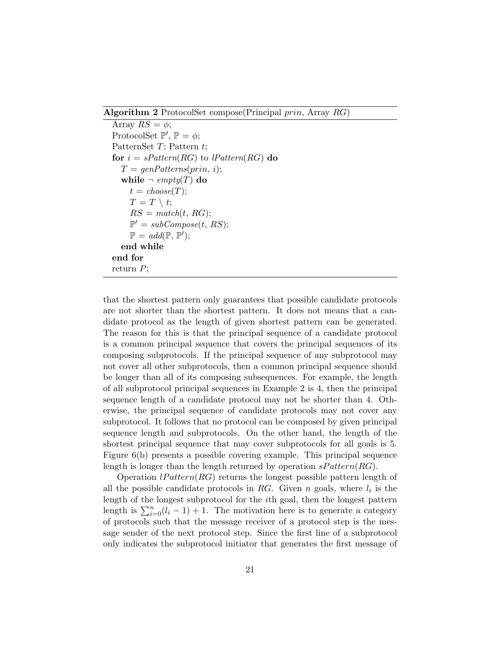Algorithm 2 ProtocolSet compose(Principal prin, Array RG)

```
Array RS = \phi;
ProtocolSet \mathbb{P}', \mathbb{P} = \phi;PatternSet T; Pattern t;
for i = sPattern(RG) to lPattern(RG) do
  T = genPatterns(prin, i);while \neg \text{empty}(T) do
     t = choose(T);T = T \setminus t;RS = match(t, RG);\mathbb{P}' = subCompose(t, RS);\mathbb{P} = \text{add}(\mathbb{P}, \mathbb{P}');end while
end for
return P;
```
that the shortest pattern only guarantees that possible candidate protocols are not shorter than the shortest pattern. It does not means that a candidate protocol as the length of given shortest pattern can be generated. The reason for this is that the principal sequence of a candidate protocol is a common principal sequence that covers the principal sequences of its composing subprotocols. If the principal sequence of any subprotocol may not cover all other subprotocols, then a common principal sequence should be longer than all of its composing subsequences. For example, the length of all subprotocol principal sequences in Example 2 is 4, then the principal sequence length of a candidate protocol may not be shorter than 4. Otherwise, the principal sequence of candidate protocols may not cover any subprotocol. It follows that no protocol can be composed by given principal sequence length and subprotocols. On the other hand, the length of the shortest principal sequence that may cover subprotocols for all goals is 5. Figure 6(b) presents a possible covering example. This principal sequence length is longer than the length returned by operation  $sPattern(RG)$ .

Operation  $lPattern(RG)$  returns the longest possible pattern length of all the possible candidate protocols in RG. Given  $n$  goals, where  $l_i$  is the length of the longest subprotocol for the ith goal, then the longest pattern length is  $\sum_{i=0}^{n} (l_i - 1) + 1$ . The motivation here is to generate a category of protocols such that the message receiver of a protocol step is the message sender of the next protocol step. Since the first line of a subprotocol only indicates the subprotocol initiator that generates the first message of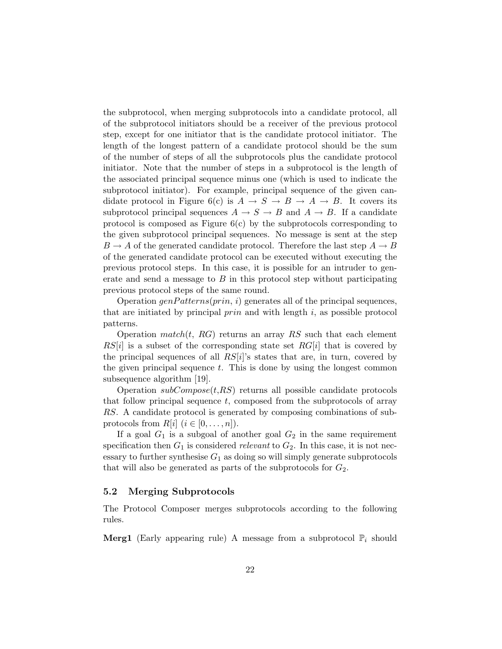the subprotocol, when merging subprotocols into a candidate protocol, all of the subprotocol initiators should be a receiver of the previous protocol step, except for one initiator that is the candidate protocol initiator. The length of the longest pattern of a candidate protocol should be the sum of the number of steps of all the subprotocols plus the candidate protocol initiator. Note that the number of steps in a subprotocol is the length of the associated principal sequence minus one (which is used to indicate the subprotocol initiator). For example, principal sequence of the given candidate protocol in Figure 6(c) is  $A \to S \to B \to A \to B$ . It covers its subprotocol principal sequences  $A \to S \to B$  and  $A \to B$ . If a candidate protocol is composed as Figure  $6(c)$  by the subprotocols corresponding to the given subprotocol principal sequences. No message is sent at the step  $B \to A$  of the generated candidate protocol. Therefore the last step  $A \to B$ of the generated candidate protocol can be executed without executing the previous protocol steps. In this case, it is possible for an intruder to generate and send a message to  $B$  in this protocol step without participating previous protocol steps of the same round.

Operation  $genPatterns(prin, i)$  generates all of the principal sequences, that are initiated by principal  $prin$  and with length i, as possible protocol patterns.

Operation match(t, RG) returns an array RS such that each element  $RS[i]$  is a subset of the corresponding state set  $RG[i]$  that is covered by the principal sequences of all  $RS[i]$ 's states that are, in turn, covered by the given principal sequence  $t$ . This is done by using the longest common subsequence algorithm [19].

Operation  $subCompose(t,RS)$  returns all possible candidate protocols that follow principal sequence  $t$ , composed from the subprotocols of array RS. A candidate protocol is generated by composing combinations of subprotocols from  $R[i]$   $(i \in [0, \ldots, n])$ .

If a goal  $G_1$  is a subgoal of another goal  $G_2$  in the same requirement specification then  $G_1$  is considered relevant to  $G_2$ . In this case, it is not necessary to further synthesise  $G_1$  as doing so will simply generate subprotocols that will also be generated as parts of the subprotocols for  $G_2$ .

### 5.2 Merging Subprotocols

The Protocol Composer merges subprotocols according to the following rules.

**Merg1** (Early appearing rule) A message from a subprotocol  $\mathbb{P}_i$  should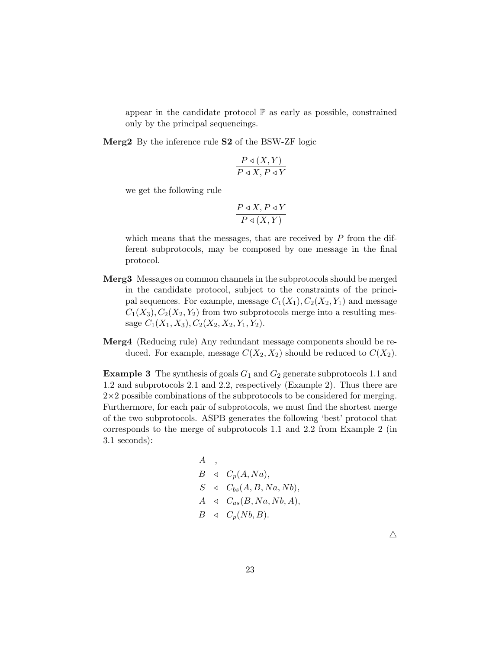appear in the candidate protocol  $\mathbb P$  as early as possible, constrained only by the principal sequencings.

Merg2 By the inference rule S2 of the BSW-ZF logic

$$
\frac{P \triangleleft (X, Y)}{P \triangleleft X, P \triangleleft Y}
$$

we get the following rule

$$
\frac{P\triangleleft X, P\triangleleft Y}{P\triangleleft (X, Y)}
$$

which means that the messages, that are received by  $P$  from the different subprotocols, may be composed by one message in the final protocol.

- Merg3 Messages on common channels in the subprotocols should be merged in the candidate protocol, subject to the constraints of the principal sequences. For example, message  $C_1(X_1), C_2(X_2, Y_1)$  and message  $C_1(X_3), C_2(X_2, Y_2)$  from two subprotocols merge into a resulting message  $C_1(X_1, X_3), C_2(X_2, X_2, Y_1, Y_2).$
- Merg4 (Reducing rule) Any redundant message components should be reduced. For example, message  $C(X_2, X_2)$  should be reduced to  $C(X_2)$ .

**Example 3** The synthesis of goals  $G_1$  and  $G_2$  generate subprotocols 1.1 and 1.2 and subprotocols 2.1 and 2.2, respectively (Example 2). Thus there are  $2\times2$  possible combinations of the subprotocols to be considered for merging. Furthermore, for each pair of subprotocols, we must find the shortest merge of the two subprotocols. ASPB generates the following 'best' protocol that corresponds to the merge of subprotocols 1.1 and 2.2 from Example 2 (in 3.1 seconds):

$$
A, \n B \triangleleft C_p(A, Na),
$$
\n
$$
S \triangleleft C_{bs}(A, B, Na, Nb),
$$
\n
$$
A \triangleleft C_{as}(B, Na, Nb, A),
$$
\n
$$
B \triangleleft C_p(Nb, B).
$$

 $\triangle$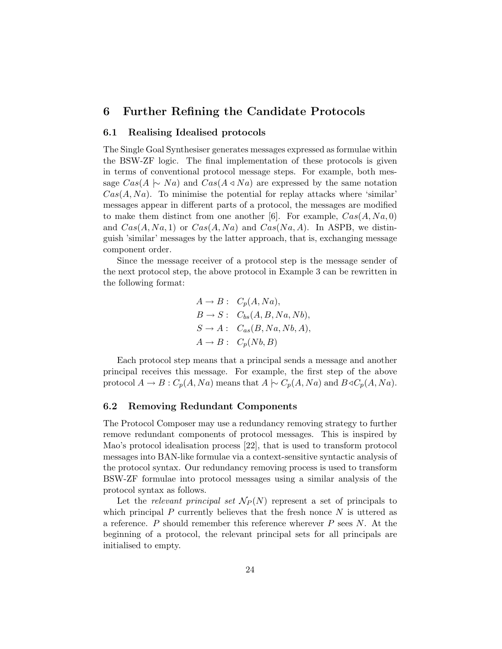## 6 Further Refining the Candidate Protocols

### 6.1 Realising Idealised protocols

The Single Goal Synthesiser generates messages expressed as formulae within the BSW-ZF logic. The final implementation of these protocols is given in terms of conventional protocol message steps. For example, both message  $Cas(A \rightarrow Na)$  and  $Cas(A \triangle A \triangle A)$  are expressed by the same notation  $Cas(A, Na)$ . To minimise the potential for replay attacks where 'similar' messages appear in different parts of a protocol, the messages are modified to make them distinct from one another [6]. For example,  $Cas(A, Na, 0)$ and  $Cas(A, Na, 1)$  or  $Cas(A, Na)$  and  $Cas(Na, A)$ . In ASPB, we distinguish 'similar' messages by the latter approach, that is, exchanging message component order.

Since the message receiver of a protocol step is the message sender of the next protocol step, the above protocol in Example 3 can be rewritten in the following format:

$$
A \rightarrow B: C_p(A, Na),
$$
  
\n
$$
B \rightarrow S: C_{bs}(A, B, Na, Nb),
$$
  
\n
$$
S \rightarrow A: C_{as}(B, Na, Nb, A),
$$
  
\n
$$
A \rightarrow B: C_p(Nb, B)
$$

Each protocol step means that a principal sends a message and another principal receives this message. For example, the first step of the above protocol  $A \to B : C_p(A, Na)$  means that  $A \sim C_p(A, Na)$  and  $B \triangleleft C_p(A, Na)$ .

### 6.2 Removing Redundant Components

The Protocol Composer may use a redundancy removing strategy to further remove redundant components of protocol messages. This is inspired by Mao's protocol idealisation process [22], that is used to transform protocol messages into BAN-like formulae via a context-sensitive syntactic analysis of the protocol syntax. Our redundancy removing process is used to transform BSW-ZF formulae into protocol messages using a similar analysis of the protocol syntax as follows.

Let the relevant principal set  $\mathcal{N}_P(N)$  represent a set of principals to which principal P currently believes that the fresh nonce  $N$  is uttered as a reference. P should remember this reference wherever  $P$  sees  $N$ . At the beginning of a protocol, the relevant principal sets for all principals are initialised to empty.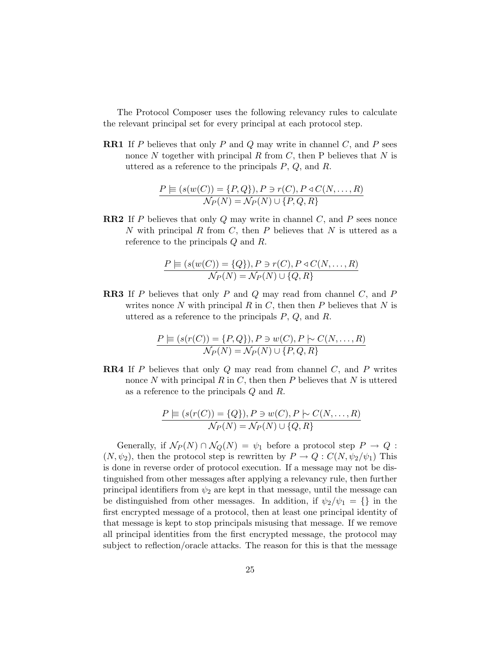The Protocol Composer uses the following relevancy rules to calculate the relevant principal set for every principal at each protocol step.

**RR1** If P believes that only P and Q may write in channel  $C$ , and P sees nonce N together with principal R from C, then P believes that N is uttered as a reference to the principals  $P, Q$ , and  $R$ .

$$
\frac{P \models (s(w(C)) = \{P, Q\}), P \ni r(C), P \triangleleft C(N, \dots, R)}{\mathcal{N}_P(N) = \mathcal{N}_P(N) \cup \{P, Q, R\}}
$$

**RR2** If P believes that only Q may write in channel  $C$ , and P sees nonce N with principal R from C, then P believes that N is uttered as a reference to the principals Q and R.

$$
\frac{P \models (s(w(C)) = \{Q\}), P \ni r(C), P \triangleleft C(N, \dots, R)}{\mathcal{N}_P(N) = \mathcal{N}_P(N) \cup \{Q, R\}}
$$

RR3 If P believes that only P and Q may read from channel C, and P writes nonce N with principal R in C, then then P believes that  $N$  is uttered as a reference to the principals  $P, Q$ , and  $R$ .

$$
\frac{P \vDash (s(r(C)) = \{P, Q\}), P \ni w(C), P \models C(N, \dots, R)}{\mathcal{N}_P(N) = \mathcal{N}_P(N) \cup \{P, Q, R\}}
$$

**RR4** If P believes that only  $Q$  may read from channel  $C$ , and  $P$  writes nonce N with principal R in C, then then P believes that N is uttered as a reference to the principals Q and R.

$$
\frac{P \models (s(r(C)) = \{Q\}), P \ni w(C), P \models C(N, \dots, R)}{\mathcal{N}_P(N) = \mathcal{N}_P(N) \cup \{Q, R\}}
$$

Generally, if  $\mathcal{N}_P(N) \cap \mathcal{N}_Q(N) = \psi_1$  before a protocol step  $P \to Q$ :  $(N, \psi_2)$ , then the protocol step is rewritten by  $P \to Q : C(N, \psi_2/\psi_1)$  This is done in reverse order of protocol execution. If a message may not be distinguished from other messages after applying a relevancy rule, then further principal identifiers from  $\psi_2$  are kept in that message, until the message can be distinguished from other messages. In addition, if  $\psi_2/\psi_1 = \{\}\$ in the first encrypted message of a protocol, then at least one principal identity of that message is kept to stop principals misusing that message. If we remove all principal identities from the first encrypted message, the protocol may subject to reflection/oracle attacks. The reason for this is that the message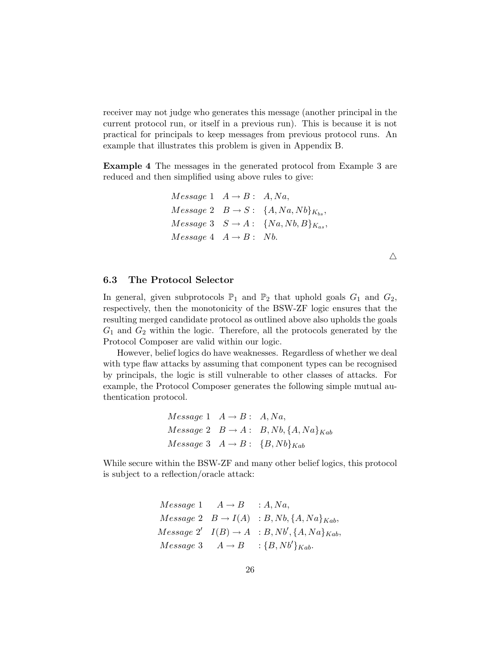receiver may not judge who generates this message (another principal in the current protocol run, or itself in a previous run). This is because it is not practical for principals to keep messages from previous protocol runs. An example that illustrates this problem is given in Appendix B.

Example 4 The messages in the generated protocol from Example 3 are reduced and then simplified using above rules to give:

> $Message 1 \quad A \rightarrow B: A, Na,$  $Message 2 \quad B \rightarrow S: \ \{A, Na, Nb\}_{K_{bs}},$  $Message 3 \quad S \rightarrow A: \quad \{Na, Nb, B\}_{K_{as}},$  $Message 4 A \rightarrow B: Nb.$

> > $\triangle$

### 6.3 The Protocol Selector

In general, given subprotocols  $\mathbb{P}_1$  and  $\mathbb{P}_2$  that uphold goals  $G_1$  and  $G_2$ , respectively, then the monotonicity of the BSW-ZF logic ensures that the resulting merged candidate protocol as outlined above also upholds the goals  $G_1$  and  $G_2$  within the logic. Therefore, all the protocols generated by the Protocol Composer are valid within our logic.

However, belief logics do have weaknesses. Regardless of whether we deal with type flaw attacks by assuming that component types can be recognised by principals, the logic is still vulnerable to other classes of attacks. For example, the Protocol Composer generates the following simple mutual authentication protocol.

$$
Message 1 \t A \rightarrow B: A, Na,
$$
  

$$
Message 2 \t B \rightarrow A: B, Nb, \{A, Na\}_{Kab}
$$
  

$$
Message 3 \t A \rightarrow B: \{B, Nb\}_{Kab}
$$

While secure within the BSW-ZF and many other belief logics, this protocol is subject to a reflection/oracle attack:

> $Message 1 \tA \rightarrow B : A, Na,$  $Message 2 \quad B \rightarrow I(A) \quad : B, Nb, \{A, Na\}_{Kab},$  $Message 2' \ I(B) \rightarrow A : B, Nb', \{A, Na\}_{Kab},$  $Message 3 \t A \rightarrow B \t : {B, Nb'}_{Kab}.$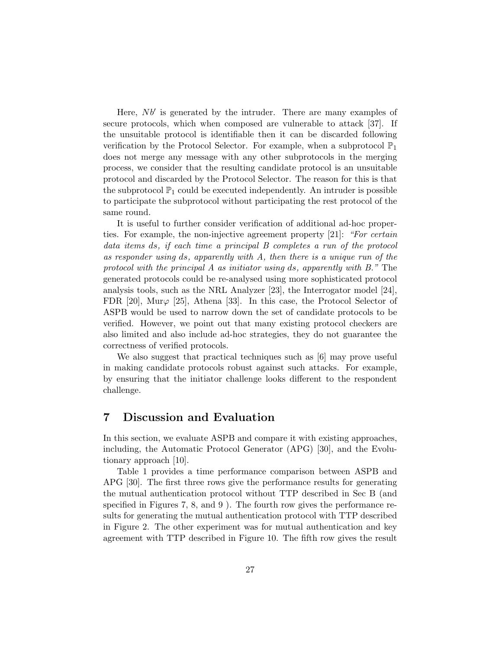Here,  $Nb'$  is generated by the intruder. There are many examples of secure protocols, which when composed are vulnerable to attack [37]. If the unsuitable protocol is identifiable then it can be discarded following verification by the Protocol Selector. For example, when a subprotocol  $\mathbb{P}_1$ does not merge any message with any other subprotocols in the merging process, we consider that the resulting candidate protocol is an unsuitable protocol and discarded by the Protocol Selector. The reason for this is that the subprotocol  $\mathbb{P}_1$  could be executed independently. An intruder is possible to participate the subprotocol without participating the rest protocol of the same round.

It is useful to further consider verification of additional ad-hoc properties. For example, the non-injective agreement property [21]: "For certain data items ds, if each time a principal B completes a run of the protocol as responder using ds, apparently with A, then there is a unique run of the protocol with the principal A as initiator using ds, apparently with B." The generated protocols could be re-analysed using more sophisticated protocol analysis tools, such as the NRL Analyzer [23], the Interrogator model [24], FDR [20], Mur $\varphi$  [25], Athena [33]. In this case, the Protocol Selector of ASPB would be used to narrow down the set of candidate protocols to be verified. However, we point out that many existing protocol checkers are also limited and also include ad-hoc strategies, they do not guarantee the correctness of verified protocols.

We also suggest that practical techniques such as  $[6]$  may prove useful in making candidate protocols robust against such attacks. For example, by ensuring that the initiator challenge looks different to the respondent challenge.

### 7 Discussion and Evaluation

In this section, we evaluate ASPB and compare it with existing approaches, including, the Automatic Protocol Generator (APG) [30], and the Evolutionary approach [10].

Table 1 provides a time performance comparison between ASPB and APG [30]. The first three rows give the performance results for generating the mutual authentication protocol without TTP described in Sec B (and specified in Figures 7, 8, and 9 ). The fourth row gives the performance results for generating the mutual authentication protocol with TTP described in Figure 2. The other experiment was for mutual authentication and key agreement with TTP described in Figure 10. The fifth row gives the result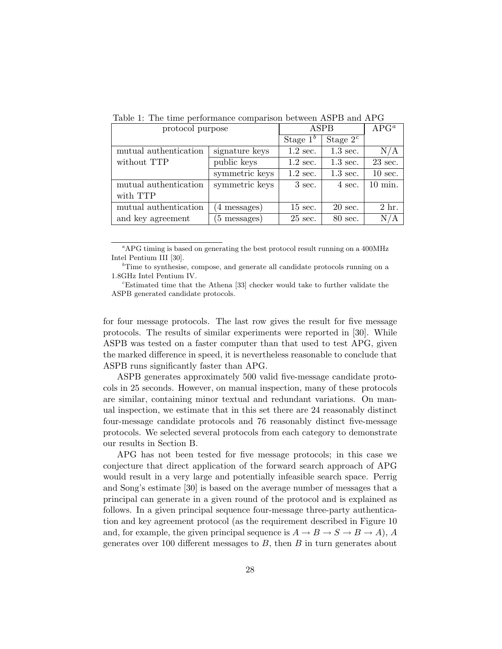| -wore it into which portoriumited componiest seems into 2 card in 1 |                |                   |                    |                   |  |
|---------------------------------------------------------------------|----------------|-------------------|--------------------|-------------------|--|
| protocol purpose                                                    |                | ASPB              |                    | $APG^a$           |  |
|                                                                     |                | Stage $1b$        | Stage $2^c$        |                   |  |
| mutual authentication                                               | signature keys | $1.2$ sec.        | $1.3 \text{ sec.}$ | N/A               |  |
| without TTP                                                         | public keys    | $1.2$ sec.        | $1.3 \text{ sec.}$ | $23$ sec.         |  |
|                                                                     | symmetric keys | $1.2$ sec.        | $1.3 \text{ sec.}$ | $10 \text{ sec.}$ |  |
| mutual authentication                                               | symmetric keys | $3$ sec.          | 4 sec.             | $10 \text{ min.}$ |  |
| with TTP                                                            |                |                   |                    |                   |  |
| mutual authentication                                               | (4 messages)   | $15 \text{ sec.}$ | $20 \text{ sec.}$  | 2 hr.             |  |
| and key agreement                                                   | (5 messages)   | $25$ sec.         | 80 sec.            | N/A               |  |

Table 1: The time performance comparison between ASPB and APG

 ${}^a$ APG timing is based on generating the best protocol result running on a 400MHz Intel Pentium III [30].

 ${}^b$ Time to synthesise, compose, and generate all candidate protocols running on a 1.8GHz Intel Pentium IV.

<sup>c</sup>Estimated time that the Athena [33] checker would take to further validate the ASPB generated candidate protocols.

for four message protocols. The last row gives the result for five message protocols. The results of similar experiments were reported in [30]. While ASPB was tested on a faster computer than that used to test APG, given the marked difference in speed, it is nevertheless reasonable to conclude that ASPB runs significantly faster than APG.

ASPB generates approximately 500 valid five-message candidate protocols in 25 seconds. However, on manual inspection, many of these protocols are similar, containing minor textual and redundant variations. On manual inspection, we estimate that in this set there are 24 reasonably distinct four-message candidate protocols and 76 reasonably distinct five-message protocols. We selected several protocols from each category to demonstrate our results in Section B.

APG has not been tested for five message protocols; in this case we conjecture that direct application of the forward search approach of APG would result in a very large and potentially infeasible search space. Perrig and Song's estimate [30] is based on the average number of messages that a principal can generate in a given round of the protocol and is explained as follows. In a given principal sequence four-message three-party authentication and key agreement protocol (as the requirement described in Figure 10 and, for example, the given principal sequence is  $A \to B \to S \to B \to A$ , A generates over 100 different messages to  $B$ , then  $B$  in turn generates about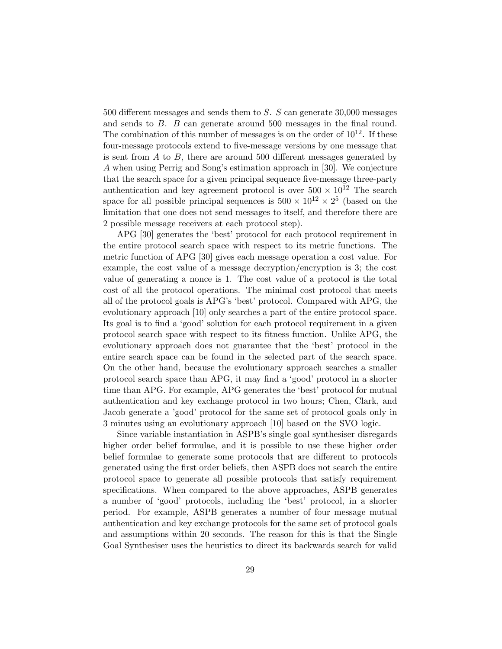500 different messages and sends them to S. S can generate 30,000 messages and sends to B. B can generate around 500 messages in the final round. The combination of this number of messages is on the order of  $10^{12}$ . If these four-message protocols extend to five-message versions by one message that is sent from  $A$  to  $B$ , there are around 500 different messages generated by A when using Perrig and Song's estimation approach in [30]. We conjecture that the search space for a given principal sequence five-message three-party authentication and key agreement protocol is over  $500 \times 10^{12}$  The search space for all possible principal sequences is  $500 \times 10^{12} \times 2^5$  (based on the limitation that one does not send messages to itself, and therefore there are 2 possible message receivers at each protocol step).

APG [30] generates the 'best' protocol for each protocol requirement in the entire protocol search space with respect to its metric functions. The metric function of APG [30] gives each message operation a cost value. For example, the cost value of a message decryption/encryption is 3; the cost value of generating a nonce is 1. The cost value of a protocol is the total cost of all the protocol operations. The minimal cost protocol that meets all of the protocol goals is APG's 'best' protocol. Compared with APG, the evolutionary approach [10] only searches a part of the entire protocol space. Its goal is to find a 'good' solution for each protocol requirement in a given protocol search space with respect to its fitness function. Unlike APG, the evolutionary approach does not guarantee that the 'best' protocol in the entire search space can be found in the selected part of the search space. On the other hand, because the evolutionary approach searches a smaller protocol search space than APG, it may find a 'good' protocol in a shorter time than APG. For example, APG generates the 'best' protocol for mutual authentication and key exchange protocol in two hours; Chen, Clark, and Jacob generate a 'good' protocol for the same set of protocol goals only in 3 minutes using an evolutionary approach [10] based on the SVO logic.

Since variable instantiation in ASPB's single goal synthesiser disregards higher order belief formulae, and it is possible to use these higher order belief formulae to generate some protocols that are different to protocols generated using the first order beliefs, then ASPB does not search the entire protocol space to generate all possible protocols that satisfy requirement specifications. When compared to the above approaches, ASPB generates a number of 'good' protocols, including the 'best' protocol, in a shorter period. For example, ASPB generates a number of four message mutual authentication and key exchange protocols for the same set of protocol goals and assumptions within 20 seconds. The reason for this is that the Single Goal Synthesiser uses the heuristics to direct its backwards search for valid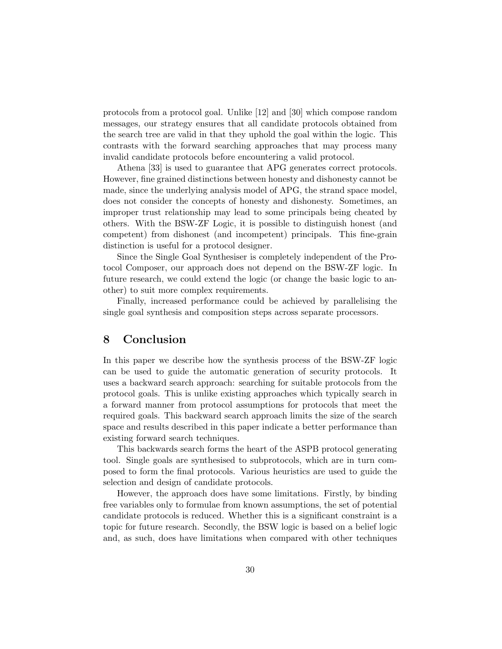protocols from a protocol goal. Unlike [12] and [30] which compose random messages, our strategy ensures that all candidate protocols obtained from the search tree are valid in that they uphold the goal within the logic. This contrasts with the forward searching approaches that may process many invalid candidate protocols before encountering a valid protocol.

Athena [33] is used to guarantee that APG generates correct protocols. However, fine grained distinctions between honesty and dishonesty cannot be made, since the underlying analysis model of APG, the strand space model, does not consider the concepts of honesty and dishonesty. Sometimes, an improper trust relationship may lead to some principals being cheated by others. With the BSW-ZF Logic, it is possible to distinguish honest (and competent) from dishonest (and incompetent) principals. This fine-grain distinction is useful for a protocol designer.

Since the Single Goal Synthesiser is completely independent of the Protocol Composer, our approach does not depend on the BSW-ZF logic. In future research, we could extend the logic (or change the basic logic to another) to suit more complex requirements.

Finally, increased performance could be achieved by parallelising the single goal synthesis and composition steps across separate processors.

### 8 Conclusion

In this paper we describe how the synthesis process of the BSW-ZF logic can be used to guide the automatic generation of security protocols. It uses a backward search approach: searching for suitable protocols from the protocol goals. This is unlike existing approaches which typically search in a forward manner from protocol assumptions for protocols that meet the required goals. This backward search approach limits the size of the search space and results described in this paper indicate a better performance than existing forward search techniques.

This backwards search forms the heart of the ASPB protocol generating tool. Single goals are synthesised to subprotocols, which are in turn composed to form the final protocols. Various heuristics are used to guide the selection and design of candidate protocols.

However, the approach does have some limitations. Firstly, by binding free variables only to formulae from known assumptions, the set of potential candidate protocols is reduced. Whether this is a significant constraint is a topic for future research. Secondly, the BSW logic is based on a belief logic and, as such, does have limitations when compared with other techniques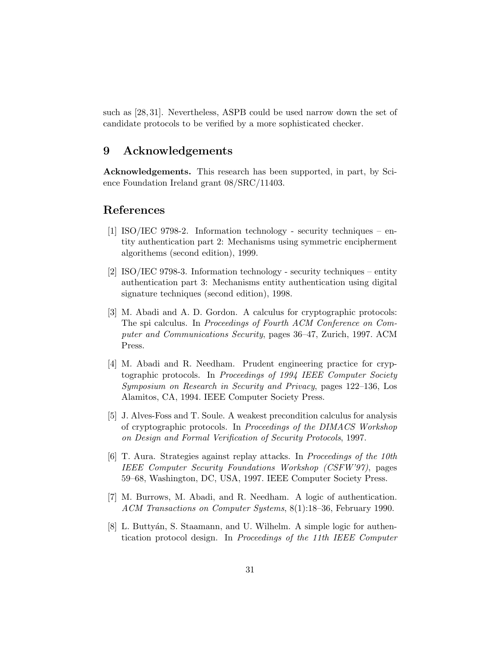such as [28, 31]. Nevertheless, ASPB could be used narrow down the set of candidate protocols to be verified by a more sophisticated checker.

### 9 Acknowledgements

Acknowledgements. This research has been supported, in part, by Science Foundation Ireland grant 08/SRC/11403.

## References

- [1] ISO/IEC 9798-2. Information technology security techniques entity authentication part 2: Mechanisms using symmetric encipherment algorithems (second edition), 1999.
- [2] ISO/IEC 9798-3. Information technology security techniques entity authentication part 3: Mechanisms entity authentication using digital signature techniques (second edition), 1998.
- [3] M. Abadi and A. D. Gordon. A calculus for cryptographic protocols: The spi calculus. In Proceedings of Fourth ACM Conference on Computer and Communications Security, pages 36–47, Zurich, 1997. ACM Press.
- [4] M. Abadi and R. Needham. Prudent engineering practice for cryptographic protocols. In Proceedings of 1994 IEEE Computer Society Symposium on Research in Security and Privacy, pages 122–136, Los Alamitos, CA, 1994. IEEE Computer Society Press.
- [5] J. Alves-Foss and T. Soule. A weakest precondition calculus for analysis of cryptographic protocols. In Proceedings of the DIMACS Workshop on Design and Formal Verification of Security Protocols, 1997.
- [6] T. Aura. Strategies against replay attacks. In Proceedings of the 10th IEEE Computer Security Foundations Workshop (CSFW'97), pages 59–68, Washington, DC, USA, 1997. IEEE Computer Society Press.
- [7] M. Burrows, M. Abadi, and R. Needham. A logic of authentication. ACM Transactions on Computer Systems, 8(1):18–36, February 1990.
- [8] L. Buttyán, S. Staamann, and U. Wilhelm. A simple logic for authentication protocol design. In Proceedings of the 11th IEEE Computer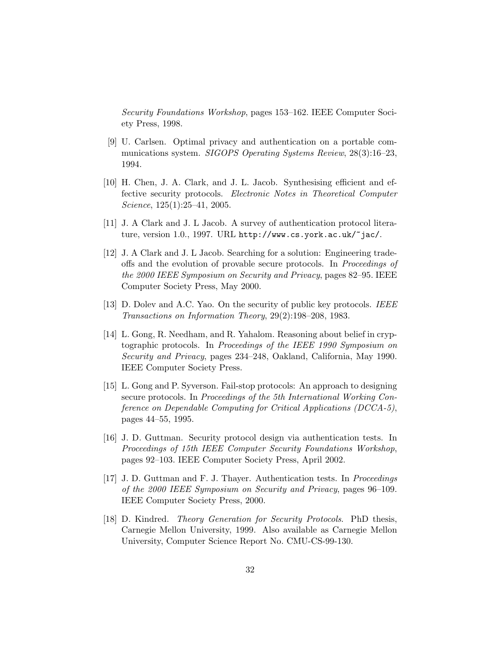Security Foundations Workshop, pages 153–162. IEEE Computer Society Press, 1998.

- [9] U. Carlsen. Optimal privacy and authentication on a portable communications system. SIGOPS Operating Systems Review, 28(3):16-23, 1994.
- [10] H. Chen, J. A. Clark, and J. L. Jacob. Synthesising efficient and effective security protocols. Electronic Notes in Theoretical Computer Science, 125(1):25–41, 2005.
- [11] J. A Clark and J. L Jacob. A survey of authentication protocol literature, version 1.0., 1997. URL http://www.cs.york.ac.uk/~jac/.
- [12] J. A Clark and J. L Jacob. Searching for a solution: Engineering tradeoffs and the evolution of provable secure protocols. In Proceedings of the 2000 IEEE Symposium on Security and Privacy, pages 82–95. IEEE Computer Society Press, May 2000.
- [13] D. Doley and A.C. Yao. On the security of public key protocols. *IEEE* Transactions on Information Theory, 29(2):198–208, 1983.
- [14] L. Gong, R. Needham, and R. Yahalom. Reasoning about belief in cryptographic protocols. In Proceedings of the IEEE 1990 Symposium on Security and Privacy, pages 234–248, Oakland, California, May 1990. IEEE Computer Society Press.
- [15] L. Gong and P. Syverson. Fail-stop protocols: An approach to designing secure protocols. In Proceedings of the 5th International Working Conference on Dependable Computing for Critical Applications (DCCA-5), pages 44–55, 1995.
- [16] J. D. Guttman. Security protocol design via authentication tests. In Proceedings of 15th IEEE Computer Security Foundations Workshop, pages 92–103. IEEE Computer Society Press, April 2002.
- [17] J. D. Guttman and F. J. Thayer. Authentication tests. In Proceedings of the 2000 IEEE Symposium on Security and Privacy, pages 96–109. IEEE Computer Society Press, 2000.
- [18] D. Kindred. Theory Generation for Security Protocols. PhD thesis, Carnegie Mellon University, 1999. Also available as Carnegie Mellon University, Computer Science Report No. CMU-CS-99-130.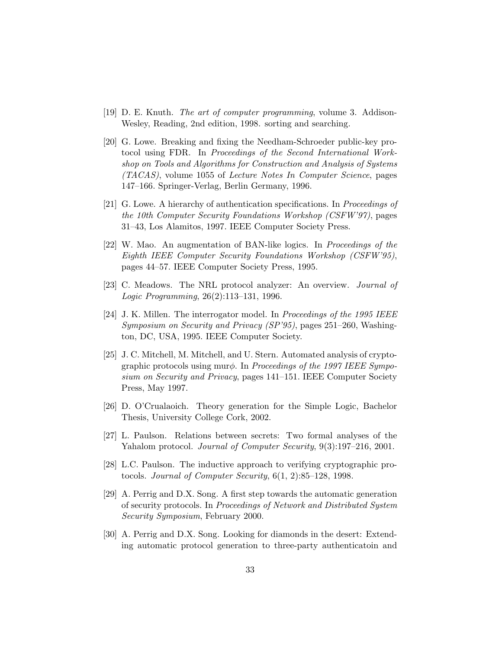- [19] D. E. Knuth. The art of computer programming, volume 3. Addison-Wesley, Reading, 2nd edition, 1998. sorting and searching.
- [20] G. Lowe. Breaking and fixing the Needham-Schroeder public-key protocol using FDR. In Proceedings of the Second International Workshop on Tools and Algorithms for Construction and Analysis of Systems (TACAS), volume 1055 of Lecture Notes In Computer Science, pages 147–166. Springer-Verlag, Berlin Germany, 1996.
- [21] G. Lowe. A hierarchy of authentication specifications. In Proceedings of the 10th Computer Security Foundations Workshop (CSFW'97), pages 31–43, Los Alamitos, 1997. IEEE Computer Society Press.
- [22] W. Mao. An augmentation of BAN-like logics. In Proceedings of the Eighth IEEE Computer Security Foundations Workshop (CSFW'95), pages 44–57. IEEE Computer Society Press, 1995.
- [23] C. Meadows. The NRL protocol analyzer: An overview. Journal of Logic Programming, 26(2):113–131, 1996.
- [24] J. K. Millen. The interrogator model. In Proceedings of the 1995 IEEE Symposium on Security and Privacy (SP'95), pages 251–260, Washington, DC, USA, 1995. IEEE Computer Society.
- [25] J. C. Mitchell, M. Mitchell, and U. Stern. Automated analysis of cryptographic protocols using mur $\phi$ . In Proceedings of the 1997 IEEE Symposium on Security and Privacy, pages 141–151. IEEE Computer Society Press, May 1997.
- [26] D. O'Crualaoich. Theory generation for the Simple Logic, Bachelor Thesis, University College Cork, 2002.
- [27] L. Paulson. Relations between secrets: Two formal analyses of the Yahalom protocol. Journal of Computer Security, 9(3):197–216, 2001.
- [28] L.C. Paulson. The inductive approach to verifying cryptographic protocols. Journal of Computer Security, 6(1, 2):85–128, 1998.
- [29] A. Perrig and D.X. Song. A first step towards the automatic generation of security protocols. In Proceedings of Network and Distributed System Security Symposium, February 2000.
- [30] A. Perrig and D.X. Song. Looking for diamonds in the desert: Extending automatic protocol generation to three-party authenticatoin and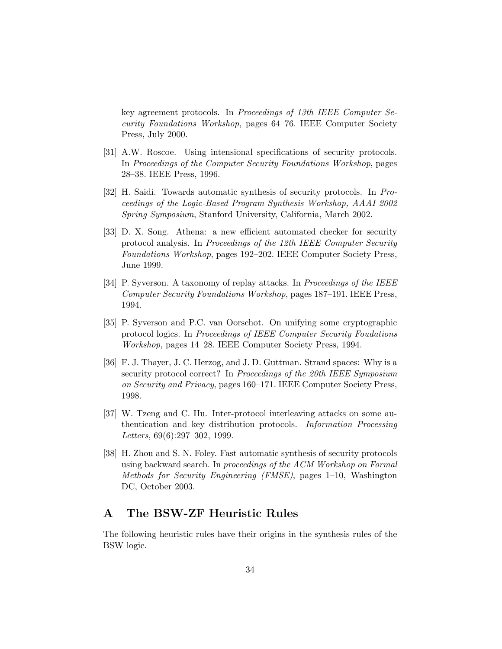key agreement protocols. In Proceedings of 13th IEEE Computer Security Foundations Workshop, pages 64–76. IEEE Computer Society Press, July 2000.

- [31] A.W. Roscoe. Using intensional specifications of security protocols. In Proceedings of the Computer Security Foundations Workshop, pages 28–38. IEEE Press, 1996.
- [32] H. Saidi. Towards automatic synthesis of security protocols. In Proceedings of the Logic-Based Program Synthesis Workshop, AAAI 2002 Spring Symposium, Stanford University, California, March 2002.
- [33] D. X. Song. Athena: a new efficient automated checker for security protocol analysis. In Proceedings of the 12th IEEE Computer Security Foundations Workshop, pages 192–202. IEEE Computer Society Press, June 1999.
- [34] P. Syverson. A taxonomy of replay attacks. In *Proceedings of the IEEE* Computer Security Foundations Workshop, pages 187–191. IEEE Press, 1994.
- [35] P. Syverson and P.C. van Oorschot. On unifying some cryptographic protocol logics. In Proceedings of IEEE Computer Security Foudations Workshop, pages 14–28. IEEE Computer Society Press, 1994.
- [36] F. J. Thayer, J. C. Herzog, and J. D. Guttman. Strand spaces: Why is a security protocol correct? In Proceedings of the 20th IEEE Symposium on Security and Privacy, pages 160–171. IEEE Computer Society Press, 1998.
- [37] W. Tzeng and C. Hu. Inter-protocol interleaving attacks on some authentication and key distribution protocols. Information Processing Letters, 69(6):297–302, 1999.
- [38] H. Zhou and S. N. Foley. Fast automatic synthesis of security protocols using backward search. In proceedings of the ACM Workshop on Formal Methods for Security Engineering (FMSE), pages 1–10, Washington DC, October 2003.

## A The BSW-ZF Heuristic Rules

The following heuristic rules have their origins in the synthesis rules of the BSW logic.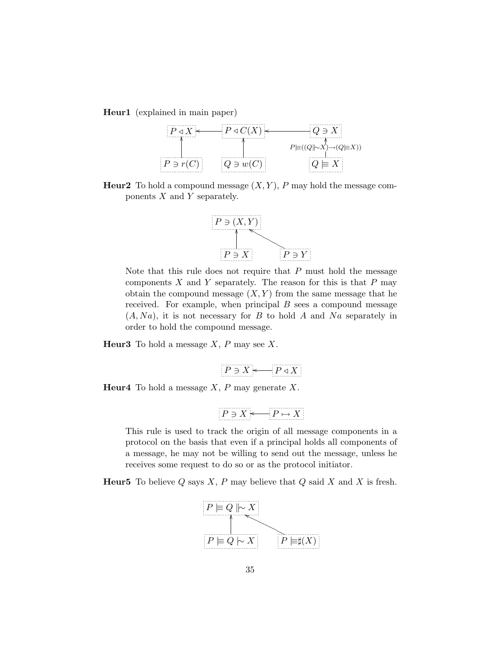Heur1 (explained in main paper)



**Heur2** To hold a compound message  $(X, Y)$ , P may hold the message components  $X$  and  $Y$  separately.



Note that this rule does not require that  $P$  must hold the message components  $X$  and  $Y$  separately. The reason for this is that  $P$  may obtain the compound message  $(X, Y)$  from the same message that he received. For example, when principal  $B$  sees a compound message  $(A, Na)$ , it is not necessary for B to hold A and Na separately in order to hold the compound message.

**Heur3** To hold a message  $X$ ,  $P$  may see  $X$ .

$$
P \ni X \longleftarrow P \triangleleft X
$$

**Heur4** To hold a message  $X$ ,  $P$  may generate  $X$ .

$$
P\ni X\longleftarrow P\mapsto X
$$

This rule is used to track the origin of all message components in a protocol on the basis that even if a principal holds all components of a message, he may not be willing to send out the message, unless he receives some request to do so or as the protocol initiator.

**Heur5** To believe Q says X, P may believe that Q said X and X is fresh.

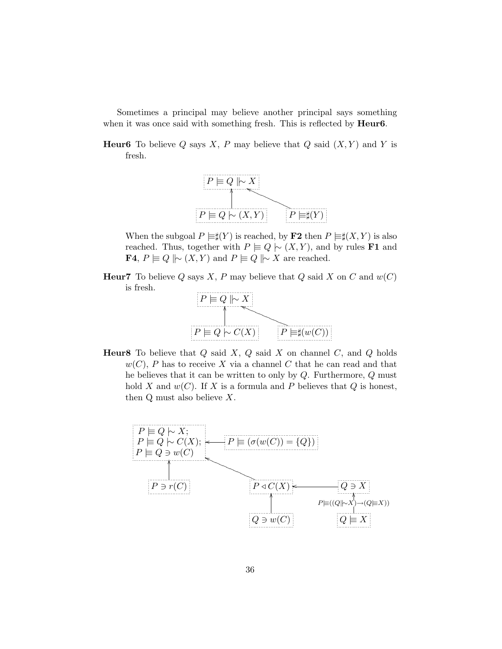Sometimes a principal may believe another principal says something when it was once said with something fresh. This is reflected by **Heur6**.

**Heur6** To believe Q says X, P may believe that Q said  $(X, Y)$  and Y is fresh.



When the subgoal  $P \models \sharp(Y)$  is reached, by **F2** then  $P \models \sharp(X, Y)$  is also reached. Thus, together with  $P \equiv Q \mid (X, Y)$ , and by rules **F1** and **F4**,  $P \equiv Q \mid \sim (X, Y)$  and  $P \equiv Q \mid \sim X$  are reached.

**Heur7** To believe Q says X, P may believe that Q said X on C and  $w(C)$ is fresh.



**Heur8** To believe that  $Q$  said  $X$ ,  $Q$  said  $X$  on channel  $C$ , and  $Q$  holds  $w(C)$ , P has to receive X via a channel C that he can read and that he believes that it can be written to only by Q. Furthermore, Q must hold X and  $w(C)$ . If X is a formula and P believes that Q is honest, then  $Q$  must also believe  $X$ .

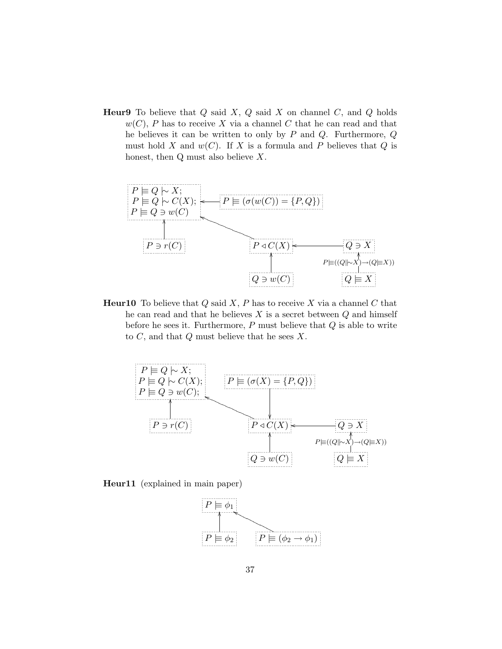**Heur9** To believe that  $Q$  said  $X$ ,  $Q$  said  $X$  on channel  $C$ , and  $Q$  holds  $w(C)$ , P has to receive X via a channel C that he can read and that he believes it can be written to only by  $P$  and  $Q$ . Furthermore,  $Q$ must hold X and  $w(C)$ . If X is a formula and P believes that Q is honest, then  $Q$  must also believe  $X$ .



**Heur10** To believe that  $Q$  said  $X$ ,  $P$  has to receive  $X$  via a channel  $C$  that he can read and that he believes  $X$  is a secret between  $Q$  and himself before he sees it. Furthermore,  $P$  must believe that  $Q$  is able to write to  $C$ , and that  $Q$  must believe that he sees  $X$ .



Heur11 (explained in main paper)

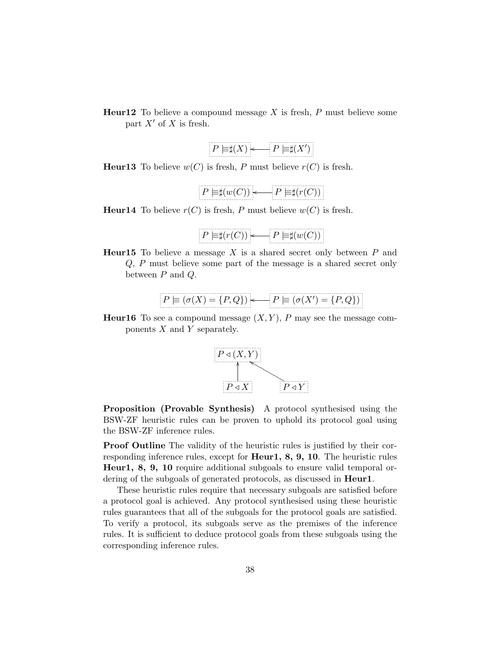**Heur12** To believe a compound message  $X$  is fresh,  $P$  must believe some part  $X'$  of X is fresh.

**Heur13** To believe  $w(C)$  is fresh, P must believe  $r(C)$  is fresh.

$$
P \models \sharp(w(C)) \longleftarrow P \models \sharp(r(C))
$$

**Heur14** To believe  $r(C)$  is fresh, P must believe  $w(C)$  is fresh.

$$
P \models \sharp(r(C)) \longleftarrow P \models \sharp(w(C))
$$

**Heur15** To believe a message  $X$  is a shared secret only between  $P$  and Q, P must believe some part of the message is a shared secret only between  $P$  and  $Q$ .

$$
P \models (\sigma(X) = \{P, Q\}) \longleftarrow P \models (\sigma(X') = \{P, Q\})
$$

**Heur16** To see a compound message  $(X, Y)$ , P may see the message components  $X$  and  $Y$  separately.



Proposition (Provable Synthesis) A protocol synthesised using the BSW-ZF heuristic rules can be proven to uphold its protocol goal using the BSW-ZF inference rules.

Proof Outline The validity of the heuristic rules is justified by their corresponding inference rules, except for **Heur1, 8, 9, 10**. The heuristic rules Heur1, 8, 9, 10 require additional subgoals to ensure valid temporal ordering of the subgoals of generated protocols, as discussed in **Heur1**.

These heuristic rules require that necessary subgoals are satisfied before a protocol goal is achieved. Any protocol synthesised using these heuristic rules guarantees that all of the subgoals for the protocol goals are satisfied. To verify a protocol, its subgoals serve as the premises of the inference rules. It is sufficient to deduce protocol goals from these subgoals using the corresponding inference rules.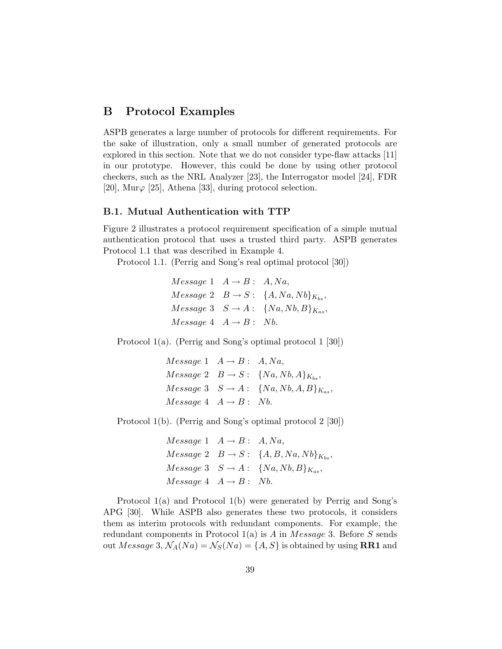## B Protocol Examples

ASPB generates a large number of protocols for different requirements. For the sake of illustration, only a small number of generated protocols are explored in this section. Note that we do not consider type-flaw attacks [11] in our prototype. However, this could be done by using other protocol checkers, such as the NRL Analyzer [23], the Interrogator model [24], FDR [20], Mur $\varphi$  [25], Athena [33], during protocol selection.

### B.1. Mutual Authentication with TTP

Figure 2 illustrates a protocol requirement specification of a simple mutual authentication protocol that uses a trusted third party. ASPB generates Protocol 1.1 that was described in Example 4.

Protocol 1.1. (Perrig and Song's real optimal protocol [30])

 $Message 1 \quad A \rightarrow B: A, Na,$  $Message 2 \quad B \rightarrow S: \ \{A, Na, Nb\}_{K_{bs}},$  $Message 3 \quad S \rightarrow A: \quad \{Na, Nb, B\}_{K_{as}},$  $Message 4 A \rightarrow B: Nb.$ 

Protocol 1(a). (Perrig and Song's optimal protocol 1 [30])

 $Message 1 \quad A \rightarrow B: A, Na,$  $Message\ 2 \quad B \rightarrow S: \ \{Na, Nb, A\}_{K_{bs}},$  $Message 3 \quad S \rightarrow A: \quad \{Na, Nb, A, B\}_{K_{as}},$  $Message 4 \quad A \rightarrow B: \quad Nb.$ 

Protocol 1(b). (Perrig and Song's optimal protocol 2 [30])

 $Message 1 \quad A \rightarrow B: A, Na,$  $Message 2 \quad B \rightarrow S: \ \{A, B, Na, Nb\}_{K_{bs}},$  $Message 3 \quad S \rightarrow A: \quad \{Na, Nb, B\}_{K_{as}},$  $Message 4 \quad A \rightarrow B: \quad Nb.$ 

Protocol 1(a) and Protocol 1(b) were generated by Perrig and Song's APG [30]. While ASPB also generates these two protocols, it considers them as interim protocols with redundant components. For example, the redundant components in Protocol  $1(a)$  is A in Message 3. Before S sends out Message 3,  $\mathcal{N}_A(Na) = \mathcal{N}_S(Na) = \{A, S\}$  is obtained by using **RR1** and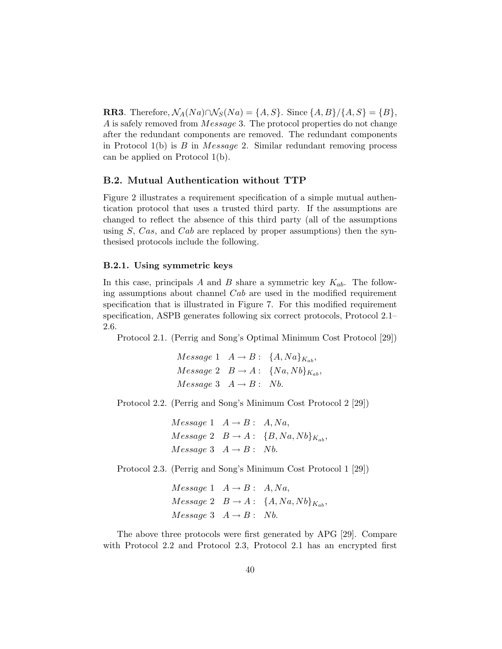**RR3**. Therefore,  $\mathcal{N}_A(Na) \cap \mathcal{N}_S(Na) = \{A, S\}$ . Since  $\{A, B\}/\{A, S\} = \{B\}$ , A is safely removed from Message 3. The protocol properties do not change after the redundant components are removed. The redundant components in Protocol  $1(b)$  is B in Message 2. Similar redundant removing process can be applied on Protocol 1(b).

### B.2. Mutual Authentication without TTP

Figure 2 illustrates a requirement specification of a simple mutual authentication protocol that uses a trusted third party. If the assumptions are changed to reflect the absence of this third party (all of the assumptions using S, Cas, and Cab are replaced by proper assumptions) then the synthesised protocols include the following.

#### B.2.1. Using symmetric keys

In this case, principals A and B share a symmetric key  $K_{ab}$ . The following assumptions about channel Cab are used in the modified requirement specification that is illustrated in Figure 7. For this modified requirement specification, ASPB generates following six correct protocols, Protocol 2.1– 2.6.

Protocol 2.1. (Perrig and Song's Optimal Minimum Cost Protocol [29])

 $Message 1 \quad A \rightarrow B: \ \{A, Na\}_{K_{ab}},$  $Message 2 \quad B \rightarrow A: \ \{Na, Nb\}_{K_{ab}},$  $Message 3 A \rightarrow B: Nb.$ 

Protocol 2.2. (Perrig and Song's Minimum Cost Protocol 2 [29])

 $Message 1 \quad A \rightarrow B: A, Na,$  $Message 2 \quad B \rightarrow A: \quad {B, Na, Nb}_{K_{ab}},$  $Message 3 A \rightarrow B: Nb.$ 

Protocol 2.3. (Perrig and Song's Minimum Cost Protocol 1 [29])

 $Message 1 \quad A \rightarrow B: A, Na,$  $Message 2 \quad B \rightarrow A: \ \{A, Na, Nb\}_{K_{ab}},$  $Message 3 A \rightarrow B: Nb.$ 

The above three protocols were first generated by APG [29]. Compare with Protocol 2.2 and Protocol 2.3, Protocol 2.1 has an encrypted first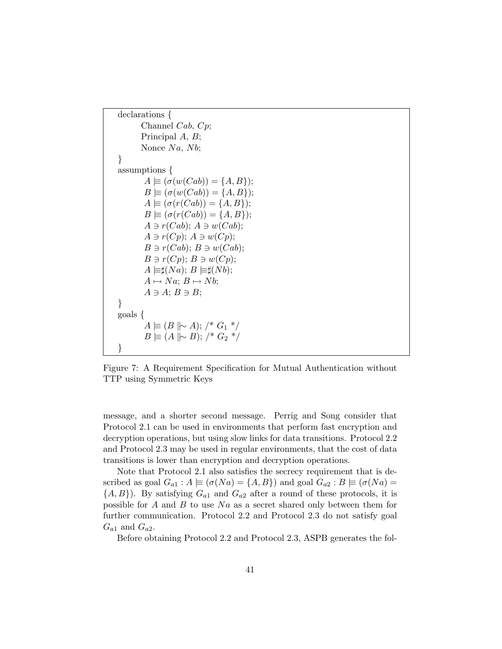```
declarations {
       Channel Cab, Cp;
       Principal A, B;
       Nonce Na, Nb;
}
assumptions {
        A \equiv (\sigma(w(Cab)) = \{A, B\});B \equiv (\sigma(w(Cab)) = \{A, B\});A \equiv (\sigma(r(Cab)) = \{A, B\});B \equiv (\sigma(r(Cab)) = \{A, B\});A \ni r(Cab); A \ni w(Cab);A \ni r(Cp); A \ni w(Cp);B \ni r(Cab); B \ni w(Cab);B \ni r(Cp); B \ni w(Cp);A \models \sharp(Na); B \models \sharp(Nb);A \mapsto Na; B \mapsto Nb;A \ni A; B \ni B;}
goals {
         A \models (B \parallel \sim A); /* G_1 */
         B \not\equiv (A \not\parallel \sim B); /* G_2 */
}
```
Figure 7: A Requirement Specification for Mutual Authentication without TTP using Symmetric Keys

message, and a shorter second message. Perrig and Song consider that Protocol 2.1 can be used in environments that perform fast encryption and decryption operations, but using slow links for data transitions. Protocol 2.2 and Protocol 2.3 may be used in regular environments, that the cost of data transitions is lower than encryption and decryption operations.

Note that Protocol 2.1 also satisfies the secrecy requirement that is described as goal  $G_{a1}$ :  $A \equiv (\sigma(Na) = \{A, B\})$  and goal  $G_{a2}$ :  $B \equiv (\sigma(Na) =$  $\{A, B\}$ ). By satisfying  $G_{a1}$  and  $G_{a2}$  after a round of these protocols, it is possible for  $A$  and  $B$  to use  $Na$  as a secret shared only between them for further communication. Protocol 2.2 and Protocol 2.3 do not satisfy goal  $G_{a1}$  and  $G_{a2}$ .

Before obtaining Protocol 2.2 and Protocol 2.3, ASPB generates the fol-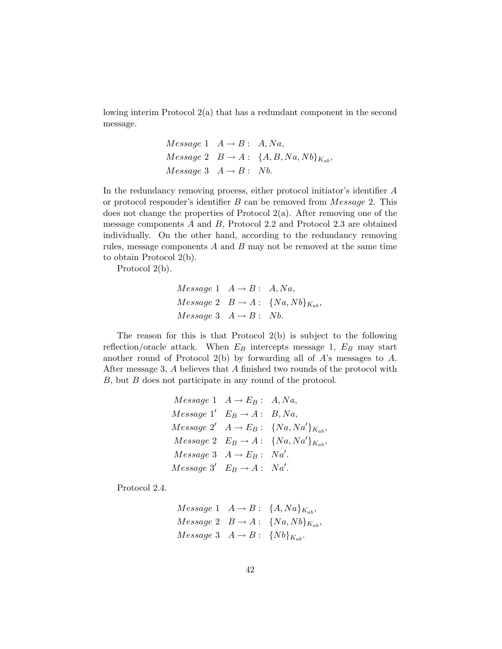lowing interim Protocol 2(a) that has a redundant component in the second message.

$$
Message 1 \t A \rightarrow B: A, Na,
$$
  

$$
Message 2 \t B \rightarrow A: \{A, B, Na, Nb\}_{K_{ab}},
$$
  

$$
Message 3 \t A \rightarrow B: Nb.
$$

In the redundancy removing process, either protocol initiator's identifier A or protocol responder's identifier B can be removed from Message 2. This does not change the properties of Protocol 2(a). After removing one of the message components A and B, Protocol 2.2 and Protocol 2.3 are obtained individually. On the other hand, according to the redundancy removing rules, message components A and B may not be removed at the same time to obtain Protocol 2(b).

Protocol 2(b).

$$
Message 1 \quad A \rightarrow B: \quad A, Na,
$$
  

$$
Message 2 \quad B \rightarrow A: \quad \{Na, Nb\}_{K_{ab}},
$$
  

$$
Message 3 \quad A \rightarrow B: \quad Nb.
$$

The reason for this is that Protocol 2(b) is subject to the following reflection/oracle attack. When  $E_B$  intercepts message 1,  $E_B$  may start another round of Protocol  $2(b)$  by forwarding all of A's messages to A. After message 3, A believes that A finished two rounds of the protocol with B, but B does not participate in any round of the protocol.

$$
Message\ 1 \quad A \rightarrow E_B: A, Na,
$$
  

$$
Message\ 1' \quad E_B \rightarrow A: B, Na,
$$
  

$$
Message\ 2' \quad A \rightarrow E_B: \{Na, Na'\}_{K_{ab}},
$$
  

$$
Message\ 2 \quad E_B \rightarrow A: \{Na, Na'\}_{K_{ab}},
$$
  

$$
Message\ 3 \quad A \rightarrow E_B: Na'.
$$
  

$$
Message\ 3' \quad E_B \rightarrow A: Na'.
$$

Protocol 2.4.

$$
Message\ 1 \quad A \rightarrow B: \ \{A, Na\}_{K_{ab}},
$$
  

$$
Message\ 2 \quad B \rightarrow A: \ \{Na, Nb\}_{K_{ab}},
$$
  

$$
Message\ 3 \quad A \rightarrow B: \ \{Nb\}_{K_{ab}}.
$$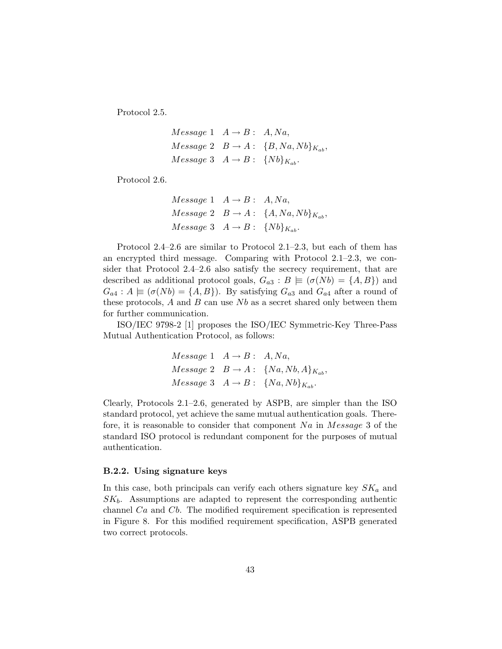Protocol 2.5.

$$
Message 1 \t A \rightarrow B: A, Na,
$$
  

$$
Message 2 \t B \rightarrow A: \{B, Na, Nb\}_{K_{ab}},
$$
  

$$
Message 3 \t A \rightarrow B: \{Nb\}_{K_{ab}}.
$$

Protocol 2.6.

$$
Message\ 1 \quad A \rightarrow B: A, Na,
$$
  

$$
Message\ 2 \quad B \rightarrow A: \ \{A, Na, Nb\}_{K_{ab}},
$$
  

$$
Message\ 3 \quad A \rightarrow B: \ \{Nb\}_{K_{ab}}.
$$

Protocol 2.4–2.6 are similar to Protocol 2.1–2.3, but each of them has an encrypted third message. Comparing with Protocol 2.1–2.3, we consider that Protocol 2.4–2.6 also satisfy the secrecy requirement, that are described as additional protocol goals,  $G_{a3} : B \models (\sigma(Nb) = \{A, B\})$  and  $G_{a4}: A \models (\sigma(Nb) = \{A, B\})$ . By satisfying  $G_{a3}$  and  $G_{a4}$  after a round of these protocols,  $A$  and  $B$  can use  $Nb$  as a secret shared only between them for further communication.

ISO/IEC 9798-2 [1] proposes the ISO/IEC Symmetric-Key Three-Pass Mutual Authentication Protocol, as follows:

$$
Message 1 \t A \rightarrow B: A, Na,
$$
  

$$
Message 2 \t B \rightarrow A: \{Na, Nb, A\}_{K_{ab}},
$$
  

$$
Message 3 \t A \rightarrow B: \{Na, Nb\}_{K_{ab}}.
$$

Clearly, Protocols 2.1–2.6, generated by ASPB, are simpler than the ISO standard protocol, yet achieve the same mutual authentication goals. Therefore, it is reasonable to consider that component  $Na$  in  $Message 3$  of the standard ISO protocol is redundant component for the purposes of mutual authentication.

#### B.2.2. Using signature keys

In this case, both principals can verify each others signature key  $SK_a$  and  $SK_b$ . Assumptions are adapted to represent the corresponding authentic channel Ca and Cb. The modified requirement specification is represented in Figure 8. For this modified requirement specification, ASPB generated two correct protocols.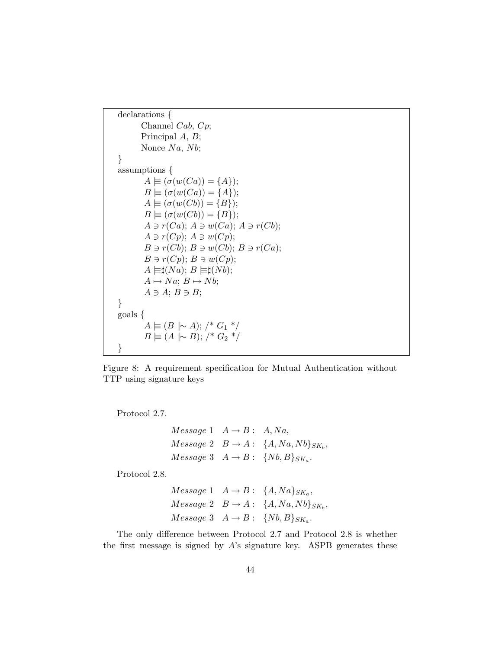```
declarations {
       Channel Cab, Cp;
       Principal A, B;
       Nonce Na, Nb;}
assumptions {
        A \equiv (\sigma(w(Ca)) = \{A\});B \equiv (\sigma(w(Ca)) = \{A\});A \equiv (\sigma(w(Cb)) = \{B\});B \equiv (\sigma(w(Cb)) = \{B\});A \ni r(Ca); A \ni w(Ca); A \ni r(Cb);A \ni r(Cp); A \ni w(Cp);B \ni r(Cb); B \ni w(Cb); B \ni r(Ca);B \ni r(Cp); B \ni w(Cp);A \models \sharp(Na); B \models \sharp(Nb);A \mapsto Na; B \mapsto Nb;
        A \ni A; B \ni B;}
goals {
        A \not\equiv (B \not\parallel \sim A); /* G_1 */
        B \equiv (A \parallel \sim B); /* G_2 */
}
```
Figure 8: A requirement specification for Mutual Authentication without TTP using signature keys

Protocol 2.7.

 $Message 1 \quad A \rightarrow B: A, Na,$  $Message 2 \quad B \rightarrow A: \quad \{A, Na, Nb\}_{SK_b},$  $Message\ 3 \quad A \rightarrow B: \ \ \{Nb, B\}_{SK_a}.$ 

Protocol 2.8.

$$
Message\ 1 \quad A \rightarrow B: \ \{A, Na\}_{SK_a},
$$
  

$$
Message\ 2 \quad B \rightarrow A: \ \{A, Na, Nb\}_{SK_b},
$$
  

$$
Message\ 3 \quad A \rightarrow B: \ \{Nb, B\}_{SK_a}.
$$

The only difference between Protocol 2.7 and Protocol 2.8 is whether the first message is signed by  $A$ 's signature key. ASPB generates these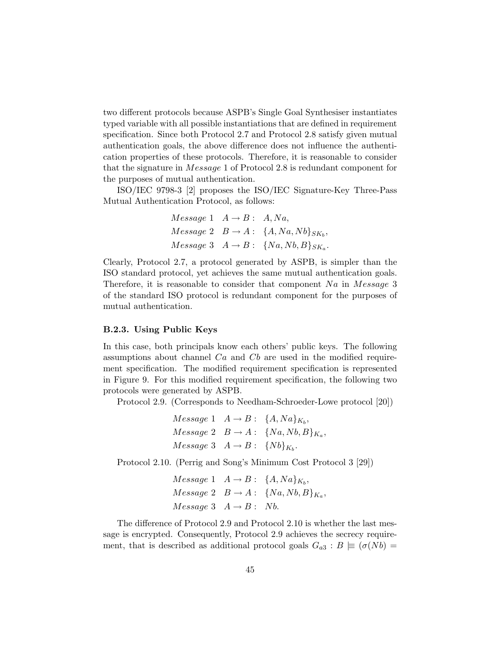two different protocols because ASPB's Single Goal Synthesiser instantiates typed variable with all possible instantiations that are defined in requirement specification. Since both Protocol 2.7 and Protocol 2.8 satisfy given mutual authentication goals, the above difference does not influence the authentication properties of these protocols. Therefore, it is reasonable to consider that the signature in Message 1 of Protocol 2.8 is redundant component for the purposes of mutual authentication.

ISO/IEC 9798-3 [2] proposes the ISO/IEC Signature-Key Three-Pass Mutual Authentication Protocol, as follows:

$$
Message 1 \t A \rightarrow B: A, Na,
$$
  

$$
Message 2 \t B \rightarrow A: \{A, Na, Nb\}_{SK_b},
$$
  

$$
Message 3 \t A \rightarrow B: \{Na, Nb, B\}_{SK_a}.
$$

Clearly, Protocol 2.7, a protocol generated by ASPB, is simpler than the ISO standard protocol, yet achieves the same mutual authentication goals. Therefore, it is reasonable to consider that component  $Na$  in  $Message 3$ of the standard ISO protocol is redundant component for the purposes of mutual authentication.

### B.2.3. Using Public Keys

In this case, both principals know each others' public keys. The following assumptions about channel  $Ca$  and  $Cb$  are used in the modified requirement specification. The modified requirement specification is represented in Figure 9. For this modified requirement specification, the following two protocols were generated by ASPB.

Protocol 2.9. (Corresponds to Needham-Schroeder-Lowe protocol [20])

$$
Message\ 1 \quad A \rightarrow B: \ \{A, Na\}_{K_b},
$$
  

$$
Message\ 2 \quad B \rightarrow A: \ \{Na, Nb, B\}_{K_a},
$$
  

$$
Message\ 3 \quad A \rightarrow B: \ \{Nb\}_{K_b}.
$$

Protocol 2.10. (Perrig and Song's Minimum Cost Protocol 3 [29])

$$
Message 1 \t A \rightarrow B: \{A, Na\}_{K_b},
$$
  

$$
Message 2 \t B \rightarrow A: \{Na, Nb, B\}_{K_a},
$$
  

$$
Message 3 \t A \rightarrow B: Nb.
$$

The difference of Protocol 2.9 and Protocol 2.10 is whether the last message is encrypted. Consequently, Protocol 2.9 achieves the secrecy requirement, that is described as additional protocol goals  $G_{a3} : B \models (\sigma(Nb) =$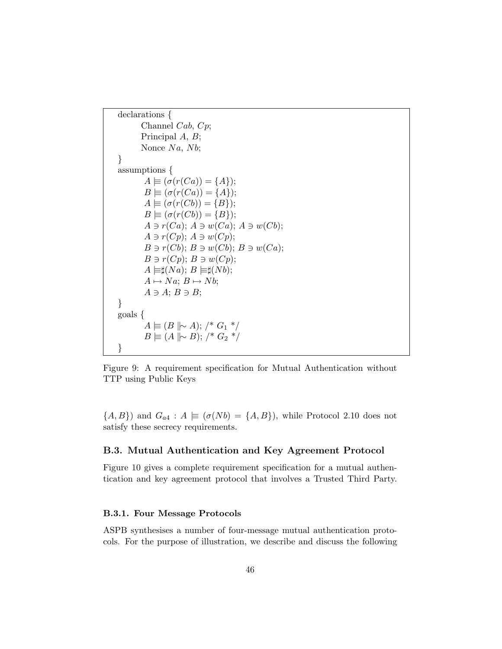```
declarations {
       Channel Cab, Cp;
       Principal A, B;
       Nonce Na, Nb;}
assumptions {
        A \equiv (\sigma(r(Ca)) = \{A\});B \equiv (\sigma(r(Ca)) = \{A\});A \equiv (\sigma(r(Cb)) = \{B\});B \equiv (\sigma(r(Cb)) = \{B\});A \ni r(Ca); A \ni w(Ca); A \ni w(Cb);A \ni r(Cp); A \ni w(Cp);B \ni r(Cb); B \ni w(Cb); B \ni w(Ca);B \ni r(Cp); B \ni w(Cp);A \models \sharp(Na); B \models \sharp(Nb);A \mapsto Na; B \mapsto Nb;
        A \ni A; B \ni B;}
goals {
         A \models (B \parallel \sim A); /* G_1 */
         B \not\equiv (A \not\parallel \sim B); /* G_2 */
}
```
Figure 9: A requirement specification for Mutual Authentication without TTP using Public Keys

 ${A, B}$ ) and  $G_{a4}$ :  $A \equiv (\sigma(Nb) = {A, B})$ , while Protocol 2.10 does not satisfy these secrecy requirements.

### B.3. Mutual Authentication and Key Agreement Protocol

Figure 10 gives a complete requirement specification for a mutual authentication and key agreement protocol that involves a Trusted Third Party.

### B.3.1. Four Message Protocols

ASPB synthesises a number of four-message mutual authentication protocols. For the purpose of illustration, we describe and discuss the following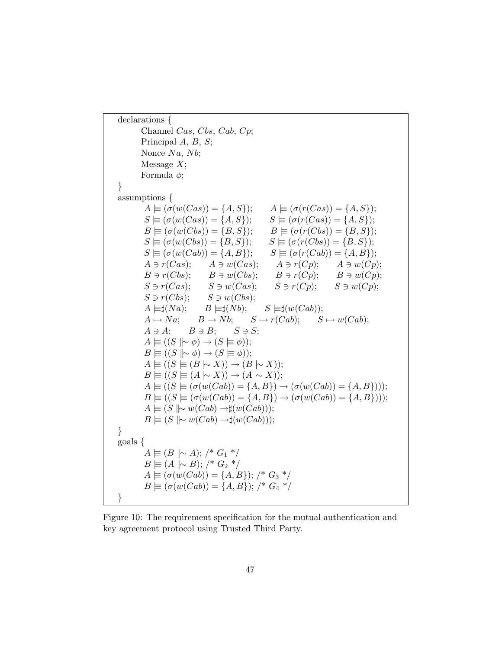declarations { Channel Cas, Cbs, Cab, Cp; Principal A, B, S; Nonce  $Na$ ,  $Nb$ ; Message  $X$ ; Formula  $\phi$ ; } assumptions {  $A \equiv (\sigma(w(Cas)) = \{A, S\}); \qquad A \equiv (\sigma(r(Cas)) = \{A, S\});$  $S \equiv (\sigma(w(Cas)) = \{A, S\}); \quad S \equiv (\sigma(r(Cas)) = \{A, S\});$  $B \equiv (\sigma(w(Cbs)) = \{B, S\}); \qquad B \equiv (\sigma(r(Cbs)) = \{B, S\});$  $S \equiv (\sigma(w(Cbs)) = \{B, S\}); \quad S \equiv (\sigma(r(Cbs)) = \{B, S\});$  $S \equiv (\sigma(w(Cab)) = \{A, B\}); \quad S \equiv (\sigma(r(Cab)) = \{A, B\});$  $A \ni r(Cas);$   $A \ni w(Cas);$   $A \ni r(Cp);$   $A \ni w(Cp);$  $B \ni r(Cbs);$   $B \ni w(Cbs);$   $B \ni r(Cp);$   $B \ni w(Cp);$  $S \ni r(Cas);$   $S \ni w(Cas);$   $S \ni r(Cp);$   $S \ni w(Cp);$  $S \ni r(Cbs); \qquad S \ni w(Cbs);$  $A \models \sharp(Na); \quad B \models \sharp(Nb); \quad S \models \sharp(w(Cab));$  $A \mapsto Na;$   $B \mapsto Nb;$   $S \mapsto r(Cab);$   $S \mapsto w(Cab);$  $A \ni A; \quad B \ni B; \quad S \ni S;$  $A \equiv ((S \mid \sim \phi) \rightarrow (S \models \phi));$  $B \equiv ((S \mid \sim \phi) \rightarrow (S \equiv \phi));$  $A \equiv ((S \not\models (B \rightarrow X)) \rightarrow (B \rightarrow X));$  $B \equiv ((S \not\models (A \rightarrow X)) \rightarrow (A \rightarrow X));$  $A \equiv ((S \equiv (\sigma(w(Cab)) = \{A, B\}) \rightarrow (\sigma(w(Cab)) = \{A, B\})))$ ;  $B \equiv ((S \equiv (\sigma(w(Cab)) = \{A, B\}) \rightarrow (\sigma(w(Cab)) = \{A, B\}))),$  $A \equiv (S \mid \sim w(Cab) \rightarrow \sharp (w(Cab)));$  $B \equiv (S \mid \sim w(Cab) \rightarrow \sharp(w(Cab)));$ } goals {  $A \equiv (B \parallel \sim A);$  /\*  $G_1$  \*/  $B$   $\equiv$  (A  $\parallel \sim$  B); /\*  $G_2$  \*/  $A \equiv (\sigma(w(Cab)) = \{A, B\});$  /\*  $G_3$  \*/  $B \equiv (\sigma(w(Cab)) = \{A, B\});$  /\*  $G_4$  \*/ }

Figure 10: The requirement specification for the mutual authentication and key agreement protocol using Trusted Third Party.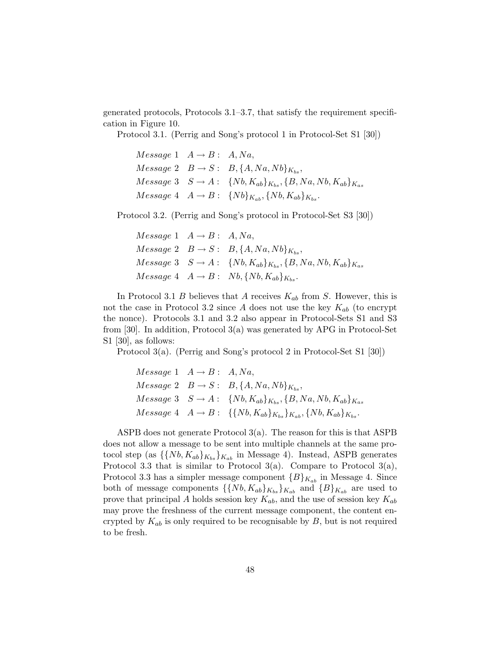generated protocols, Protocols 3.1–3.7, that satisfy the requirement specification in Figure 10.

Protocol 3.1. (Perrig and Song's protocol 1 in Protocol-Set S1 [30])

 $Message 1 \quad A \rightarrow B: A, Na,$  $Message 2 \quad B \rightarrow S: B, \{A, Na, Nb\}_{K_{bs}},$  $Message 3 \quad S \rightarrow A: \quad \{Nb, K_{ab}\}_{K_{bs}}, \{B, Na, Nb, K_{ab}\}_{K_{as}}$  $Message\ 4\quad A \rightarrow B: \ \{Nb\}_{K_{ab}}, \{Nb, K_{ab}\}_{K_{bc}}.$ 

Protocol 3.2. (Perrig and Song's protocol in Protocol-Set S3 [30])

 $Message 1 \quad A \rightarrow B: A, Na,$  $Message 2 \quad B \rightarrow S: B, \{A, Na, Nb\}_{K_{bs}},$  $Message 3 \quad S \rightarrow A: \quad \{Nb, K_{ab}\}_{K_{bs}}, \{B, Na, Nb, K_{ab}\}_{K_{as}}$  $Message 4 \quad A \rightarrow B: \quad Nb, \{Nb, K_{ab}\}_{K_b}.$ 

In Protocol 3.1 B believes that A receives  $K_{ab}$  from S. However, this is not the case in Protocol 3.2 since A does not use the key  $K_{ab}$  (to encrypt the nonce). Protocols 3.1 and 3.2 also appear in Protocol-Sets S1 and S3 from [30]. In addition, Protocol 3(a) was generated by APG in Protocol-Set S1 [30], as follows:

Protocol 3(a). (Perrig and Song's protocol 2 in Protocol-Set S1 [30])

$$
Message\ 1 \quad A \rightarrow B: \quad A, Na,
$$
  

$$
Message\ 2 \quad B \rightarrow S: \quad B, \{A, Na, Nb\}_{K_{bs}},
$$
  

$$
Message\ 3 \quad S \rightarrow A: \quad \{Nb, K_{ab}\}_{K_{bs}}, \{B, Na, Nb, K_{ab}\}_{K_{as}}
$$
  

$$
Message\ 4 \quad A \rightarrow B: \quad \{\{Nb, K_{ab}\}_{K_{bs}}\}_{K_{ab}}, \{Nb, K_{ab}\}_{K_{bs}}.
$$

ASPB does not generate Protocol 3(a). The reason for this is that ASPB does not allow a message to be sent into multiple channels at the same protocol step (as  $\{\{Nb, K_{ab}\}_{K_{ab}}\}_{K_{ab}}$  in Message 4). Instead, ASPB generates Protocol 3.3 that is similar to Protocol  $3(a)$ . Compare to Protocol  $3(a)$ , Protocol 3.3 has a simpler message component  ${B}_{K_{ab}}$  in Message 4. Since both of message components  $\{\{Nb, K_{ab}\}_{K_{ab}}\}_{K_{ab}}$  and  $\{B\}_{K_{ab}}$  are used to prove that principal A holds session key  $K_{ab}$ , and the use of session key  $K_{ab}$ may prove the freshness of the current message component, the content encrypted by  $K_{ab}$  is only required to be recognisable by  $B$ , but is not required to be fresh.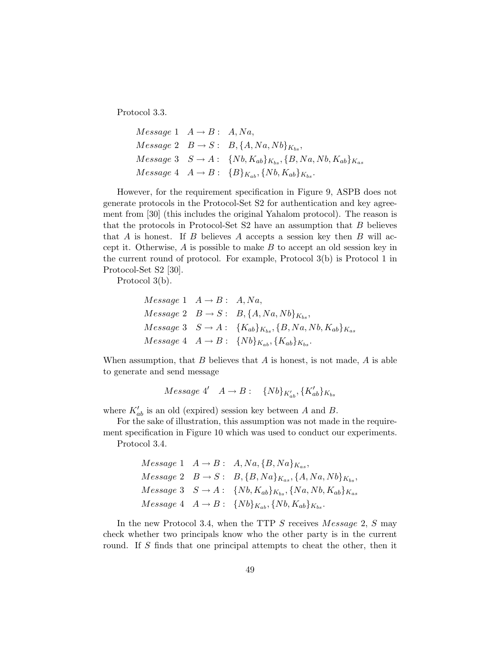Protocol 3.3.

```
Message 1 \quad A \rightarrow B: A, Na,Message 2 \quad B \rightarrow S: B, \{A, Na, Nb\}_{K_{bs}},Message\ 3 \quad S \rightarrow A: \ \ \{Nb, K_{ab}\}_{K_{bs}}, \{B, Na, Nb, K_{ab}\}_{K_{as}}Message\ 4\quad A \rightarrow B: \ \{B\}_{K_{ab}}, \{Nb, K_{ab}\}_{K_{bs}}.
```
However, for the requirement specification in Figure 9, ASPB does not generate protocols in the Protocol-Set S2 for authentication and key agreement from [30] (this includes the original Yahalom protocol). The reason is that the protocols in Protocol-Set  $S2$  have an assumption that  $B$  believes that A is honest. If B believes A accepts a session key then B will accept it. Otherwise,  $A$  is possible to make  $B$  to accept an old session key in the current round of protocol. For example, Protocol 3(b) is Protocol 1 in Protocol-Set S2 [30].

Protocol 3(b).

$$
Message\ 1 \quad A \rightarrow B: A, Na,
$$
  

$$
Message\ 2 \quad B \rightarrow S: B, \{A, Na, Nb\}_{K_{bs}},
$$
  

$$
Message\ 3 \quad S \rightarrow A: \{K_{ab}\}_{K_{bs}}, \{B, Na, Nb, K_{ab}\}_{K_{as}}
$$
  

$$
Message\ 4 \quad A \rightarrow B: \{Nb\}_{K_{ab}}, \{K_{ab}\}_{K_{bs}}.
$$

When assumption, that  $B$  believes that  $A$  is honest, is not made,  $A$  is able to generate and send message

$$
Message\ 4' \quad A \rightarrow B: \quad \{Nb\}_{K'_{ab}}, \{K'_{ab}\}_{K_{bs}}
$$

where  $K'_{ab}$  is an old (expired) session key between A and B.

For the sake of illustration, this assumption was not made in the requirement specification in Figure 10 which was used to conduct our experiments. Protocol 3.4.

$$
Message\ 1 \quad A \rightarrow B: A, Na, {B, Na}_{K_{as}},
$$
  

$$
Message\ 2 \quad B \rightarrow S: B, {B, Na}_{K_{as}}, {A, Na, Nb}_{K_{bs}},
$$
  

$$
Message\ 3 \quad S \rightarrow A: {Nb, K_{ab}}_{K_{bs}}, {Na, Nb, K_{ab}}_{K_{as}}
$$
  

$$
Message\ 4 \quad A \rightarrow B: {Nb}_{K_{ab}}, {Nb, K_{ab}}_{K_{bs}}.
$$

In the new Protocol 3.4, when the TTP S receives Message 2, S may check whether two principals know who the other party is in the current round. If S finds that one principal attempts to cheat the other, then it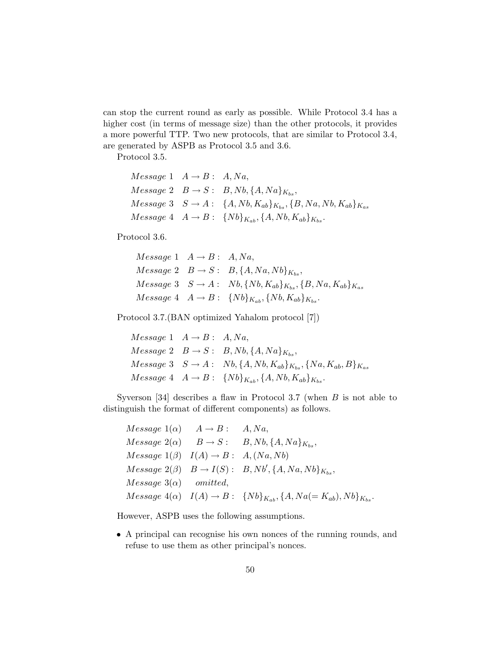can stop the current round as early as possible. While Protocol 3.4 has a higher cost (in terms of message size) than the other protocols, it provides a more powerful TTP. Two new protocols, that are similar to Protocol 3.4, are generated by ASPB as Protocol 3.5 and 3.6.

Protocol 3.5.

```
Message 1 \quad A \rightarrow B: A, Na,Message 2 \quad B \rightarrow S : B, Nb, \{A, Na\}_K,
Message 3 \quad S \to A: \quad \{A, Nb, K_{ab}\}_{K_{ba}}, \{B, Na, Nb, K_{ab}\}_{K_{ab}}Message\ 4\quad A \to B: \ \{Nb\}_{K_{ab}}, \{A, Nb, K_{ab}\}_{K_{bc}}.
```
Protocol 3.6.

 $Message 1 \quad A \rightarrow B: A, Na,$  $Message 2 \quad B \rightarrow S : B, \{A, Na, Nb\}_{K_b}$  $Message 3 \quad S \rightarrow A: \quad Nb, \{Nb, K_{ab}\}_{K_{bc}}, \{B, Na, K_{ab}\}_{K_{ac}}$  $Message\ 4\quad A \rightarrow B: \ \{Nb\}_{K_{ab}}, \{Nb, K_{ab}\}_{K_{bc}}.$ 

Protocol 3.7.(BAN optimized Yahalom protocol [7])

 $Message 1 \quad A \rightarrow B: A, Na,$  $Message 2 \quad B \rightarrow S : B, Nb, \{A, Na\}_{K_{bs}},$  $Message 3 \quad S \rightarrow A: \quad Nb, \{A, Nb, K_{ab}\}_{K_{bc}}, \{Na, K_{ab}, B\}_{K_{as}}$  $Message 4 \quad A \rightarrow B: \quad \{Nb\}_{K_{ab}}, \{A, Nb, K_{ab}\}_{K_{bc}}.$ 

Syverson [34] describes a flaw in Protocol 3.7 (when  $B$  is not able to distinguish the format of different components) as follows.

 $Message 1(\alpha) \quad A \rightarrow B: \quad A, Na,$  $Message 2(\alpha) \quad B \rightarrow S : B, Nb, \{A, Na\}_{K_{bs}},$  $Message 1(\beta) \quad I(A) \rightarrow B: A, (Na, Nb)$  $Message 2(\beta) \quad B \rightarrow I(S): B, Nb', \{A, Na, Nb\}_{K_{bs}},$  $Message 3( $\alpha$ ) omitted,$  $Message 4(\alpha) \quad I(A) \to B: \quad \{Nb\}_{K_{ab}}, \{A, Na(=K_{ab}), Nb\}_{K_{ba}}.$ 

However, ASPB uses the following assumptions.

• A principal can recognise his own nonces of the running rounds, and refuse to use them as other principal's nonces.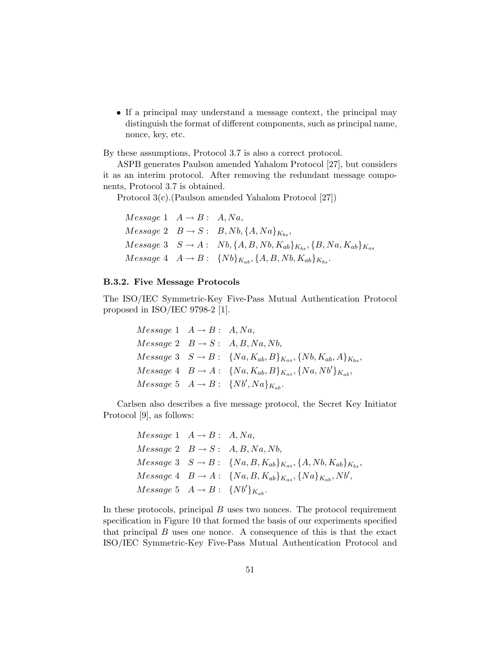• If a principal may understand a message context, the principal may distinguish the format of different components, such as principal name, nonce, key, etc.

By these assumptions, Protocol 3.7 is also a correct protocol.

ASPB generates Paulson amended Yahalom Protocol [27], but considers it as an interim protocol. After removing the redundant message components, Protocol 3.7 is obtained.

Protocol 3(c).(Paulson amended Yahalom Protocol [27])

 $Message 1 \quad A \rightarrow B: A, Na,$  $Message 2 \quad B \rightarrow S: B, Nb, \{A, Na\}_{K_{bc}},$  $Message 3 \quad S \rightarrow A: \quad Nb, \{A, B, Nb, K_{ab}\}_{K_{bs}}, \{B, Na, K_{ab}\}_{K_{as}}$  $Message 4 \quad A \rightarrow B: \quad \{Nb\}_{K_{ab}}, \{A, B, Nb, K_{ab}\}_{K_{bc}}.$ 

#### B.3.2. Five Message Protocols

The ISO/IEC Symmetric-Key Five-Pass Mutual Authentication Protocol proposed in ISO/IEC 9798-2 [1].

> $Message 1 \quad A \rightarrow B: A, Na,$  $Message 2 \quad B \rightarrow S : A, B, Na, Nb,$  $Message\ 3 \quad S \rightarrow B: \ \ \{Na, K_{ab}, B\}_{K_{as}}, \{Nb, K_{ab}, A\}_{K_{bs}},$  $Message\ 4\quad B \to A: \ \{Na, K_{ab}, B\}_{K_{as}}, \{Na, Nb'\}_{K_{ab}},$  $Message\ 5\ \ A \rightarrow B:\ \{Nb',Na\}_{K_{ab}}.$

Carlsen also describes a five message protocol, the Secret Key Initiator Protocol [9], as follows:

> $Message 1 \quad A \rightarrow B: A, Na,$  $Message 2 \quad B \rightarrow S : A, B, Na, Nb,$  $Message\ 3 \quad S \to B: \ \{Na, B, K_{ab}\}_{K_{as}}, \{A, Nb, K_{ab}\}_{K_{bs}},$  $Message\ 4\quad B \to A: \ \{Na, B, K_{ab}\}_{K_{as}}, \{Na\}_{K_{ab}}, Nb',$  $Message\ 5\ \ A \rightarrow B:\ \{Nb'\}_{K_{ab}}.$

In these protocols, principal  $B$  uses two nonces. The protocol requirement specification in Figure 10 that formed the basis of our experiments specified that principal  $B$  uses one nonce. A consequence of this is that the exact ISO/IEC Symmetric-Key Five-Pass Mutual Authentication Protocol and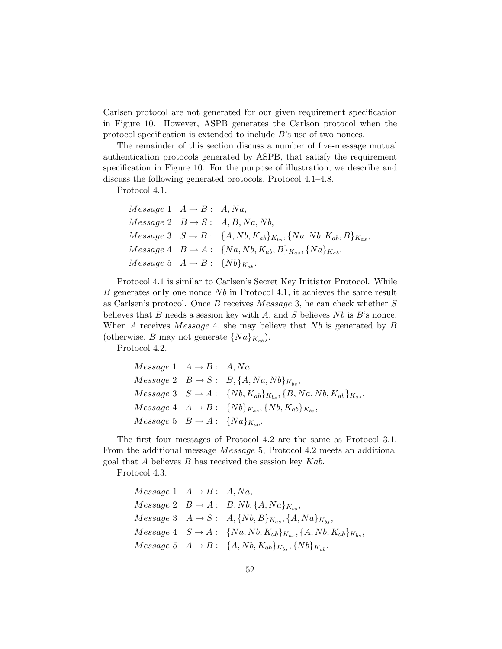Carlsen protocol are not generated for our given requirement specification in Figure 10. However, ASPB generates the Carlson protocol when the protocol specification is extended to include B's use of two nonces.

The remainder of this section discuss a number of five-message mutual authentication protocols generated by ASPB, that satisfy the requirement specification in Figure 10. For the purpose of illustration, we describe and discuss the following generated protocols, Protocol 4.1–4.8.

Protocol 4.1.

$$
Message\ 1 \quad A \rightarrow B: A, Na,
$$
  
\n
$$
Message\ 2 \quad B \rightarrow S: A, B, Na, Nb,
$$
  
\n
$$
Message\ 3 \quad S \rightarrow B: \{A, Nb, K_{ab}\}_{K_{bs}}, \{Na, Nb, K_{ab}, B\}_{K_{as}},
$$
  
\n
$$
Message\ 4 \quad B \rightarrow A: \{Na, Nb, K_{ab}, B\}_{K_{as}}, \{Na\}_{K_{ab}},
$$
  
\n
$$
Message\ 5 \quad A \rightarrow B: \{Nb\}_{K_{ab}}.
$$

Protocol 4.1 is similar to Carlsen's Secret Key Initiator Protocol. While B generates only one nonce  $Nb$  in Protocol 4.1, it achieves the same result as Carlsen's protocol. Once B receives Message 3, he can check whether S believes that  $B$  needs a session key with  $A$ , and  $S$  believes  $Nb$  is  $B$ 's nonce. When A receives Message 4, she may believe that  $Nb$  is generated by B (otherwise, B may not generate  $\{Na\}_{K_{ab}}$ ).

Protocol 4.2.

$$
Message\ 1 \quad A \rightarrow B: A, Na,
$$
  

$$
Message\ 2 \quad B \rightarrow S: B, \{A, Na, Nb\}_{K_{bs}},
$$
  

$$
Message\ 3 \quad S \rightarrow A: \{Nb, K_{ab}\}_{K_{bs}}, \{B, Na, Nb, K_{ab}\}_{K_{as}},
$$
  

$$
Message\ 4 \quad A \rightarrow B: \{Nb\}_{K_{ab}}, \{Nb, K_{ab}\}_{K_{bs}},
$$
  

$$
Message\ 5 \quad B \rightarrow A: \{Na\}_{K_{ab}}.
$$

The first four messages of Protocol 4.2 are the same as Protocol 3.1. From the additional message Message 5, Protocol 4.2 meets an additional goal that  $A$  believes  $B$  has received the session key  $Kab$ .

Protocol 4.3.

$$
Message\ 1 \quad A \rightarrow B: A, Na,
$$
  
\n
$$
Message\ 2 \quad B \rightarrow A: B, Nb, \{A, Na\}_{K_{bs}},
$$
  
\n
$$
Message\ 3 \quad A \rightarrow S: A, \{Nb, B\}_{K_{as}}, \{A, Na\}_{K_{bs}},
$$
  
\n
$$
Message\ 4 \quad S \rightarrow A: \{Na, Nb, K_{ab}\}_{K_{as}}, \{A, Nb, K_{ab}\}_{K_{bs}},
$$
  
\n
$$
Message\ 5 \quad A \rightarrow B: \{A, Nb, K_{ab}\}_{K_{bs}}, \{Nb\}_{K_{ab}}.
$$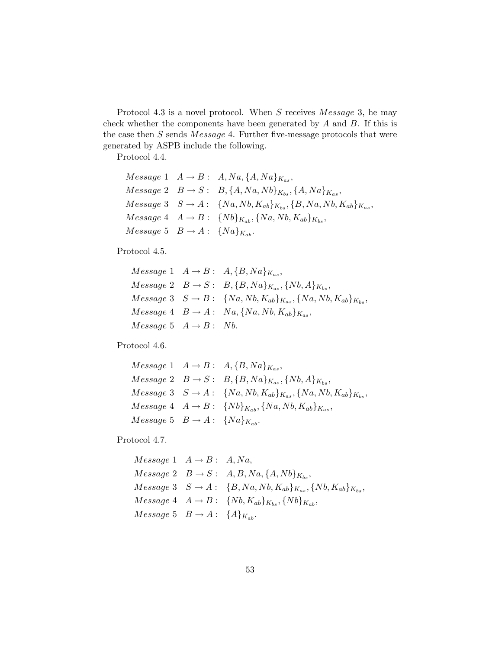Protocol 4.3 is a novel protocol. When  $S$  receives  $Message\,3$ , he may check whether the components have been generated by  $A$  and  $B$ . If this is the case then  $S$  sends  $Message 4$ . Further five-message protocols that were generated by ASPB include the following.

Protocol 4.4.

```
Message\ 1\quad A\rightarrow B:\ A, Na, \{A, Na\}_{K_{as}},Message\ 2\quad B\rightarrow S:\ B, \{A, Na, Nb\}_{K_{bs}}, \{A, Na\}_{K_{as}},Message\ 3 \quad S \to A: \ \{Na, Nb, K_{ab}\}_{K_{bs}}, \{B, Na, Nb, K_{ab}\}_{K_{as}},Message 4 \quad A \rightarrow B: \quad \{Nb\}_{K_{ab}}, \{Na, Nb, K_{ab}\}_{K_{bc}},Message\ 5\ B \rightarrow A:\ \{Na\}_{K_{ab}}.
```
Protocol 4.5.

```
Message 1 \quad A \rightarrow B: A, {B, Na}_{K_{as}},Message 2 \quad B \rightarrow S: B, \{B, Na\}_{K_{as}}, \{Nb, A\}_{K_{bs}},Message\ 3 \quad S \rightarrow B: \ \ \{Na, Nb, K_{ab}\}_{K_{as}}, \{Na, Nb, K_{ab}\}_{K_{bs}},Message\ 4\quad B \rightarrow A: \quad Na, \{Na, Nb, K_{ab}\}_{K_{as}},Message~5~A \rightarrow B:~Nb.
```
Protocol 4.6.

```
Message\ 1\quad A \rightarrow B: A, \{B, Na\}_{K_{as}},Message 2 \quad B \rightarrow S: B, \{B, Na\}_{K_{as}}, \{Nb, A\}_{K_{bs}},Message\ 3 \quad S \to A: \ \ \{Na, Nb, K_{ab}\}_{K_{as}}, \{Na, Nb, K_{ab}\}_{K_{bs}},Message\ 4\quad A \rightarrow B: \ \{Nb\}_{K_{ab}}, \{Na, Nb, K_{ab}\}_{K_{as}},Message 5 B \rightarrow A: \{Na\}_{K_{ab}}.
```
Protocol 4.7.

```
Message 1 \quad A \rightarrow B: A, Na,Message 2 \quad B \rightarrow S : A, B, Na, \{A, Nb\}_{K_{bs}},Message\ 3 \quad S \rightarrow A: \quad {B, Na, Nb, K_{ab}}_{K_{as}}, \{Nb, K_{ab}\}_{K_{bs}},Message\ 4\quad A \rightarrow B: \ \{Nb, K_{ab}\}_{K_{ab}}, \{Nb\}_{K_{ab}},Message\ 5\ B \rightarrow A:\ \{A\}_{K_{ab}}.
```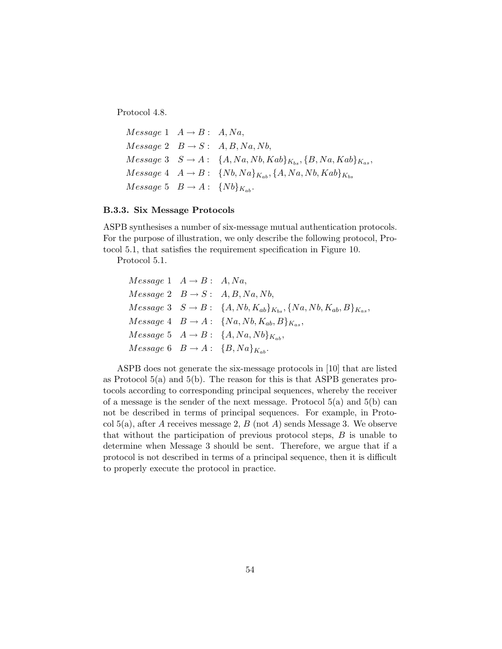Protocol 4.8.

```
Message 1 \quad A \rightarrow B: A, Na,Message 2 \quad B \rightarrow S : A, B, Na, Nb,Message\ 3 \quad S \rightarrow A: \quad \{A, Na, Nb, Kab\}_{K_{bs}}, \{B, Na, Kab\}_{K_{as}},Message\ 4\quad A \rightarrow B: \ \{Nb, Na\}_{K_{ab}}, \{A, Na, Nb, Kab\}_{K_{bs}}Message\ 5\quad B \rightarrow A: \ \{Nb\}_{K_{ab}}.
```
#### B.3.3. Six Message Protocols

ASPB synthesises a number of six-message mutual authentication protocols. For the purpose of illustration, we only describe the following protocol, Protocol 5.1, that satisfies the requirement specification in Figure 10.

Protocol 5.1.

$$
Message\ 1 \quad A \rightarrow B: A, Na,
$$
  
\n
$$
Message\ 2 \quad B \rightarrow S: A, B, Na, Nb,
$$
  
\n
$$
Message\ 3 \quad S \rightarrow B: \{A, Nb, K_{ab}\}_{K_{bs}}, \{Na, Nb, K_{ab}, B\}_{K_{as}},
$$
  
\n
$$
Message\ 4 \quad B \rightarrow A: \{Na, Nb, K_{ab}, B\}_{K_{as}},
$$
  
\n
$$
Message\ 5 \quad A \rightarrow B: \{A, Na, Nb\}_{K_{ab}},
$$
  
\n
$$
Message\ 6 \quad B \rightarrow A: \{B, Na\}_{K_{ab}}.
$$

ASPB does not generate the six-message protocols in [10] that are listed as Protocol  $5(a)$  and  $5(b)$ . The reason for this is that ASPB generates protocols according to corresponding principal sequences, whereby the receiver of a message is the sender of the next message. Protocol  $5(a)$  and  $5(b)$  can not be described in terms of principal sequences. For example, in Protocol  $5(a)$ , after A receives message 2, B (not A) sends Message 3. We observe that without the participation of previous protocol steps, B is unable to determine when Message 3 should be sent. Therefore, we argue that if a protocol is not described in terms of a principal sequence, then it is difficult to properly execute the protocol in practice.